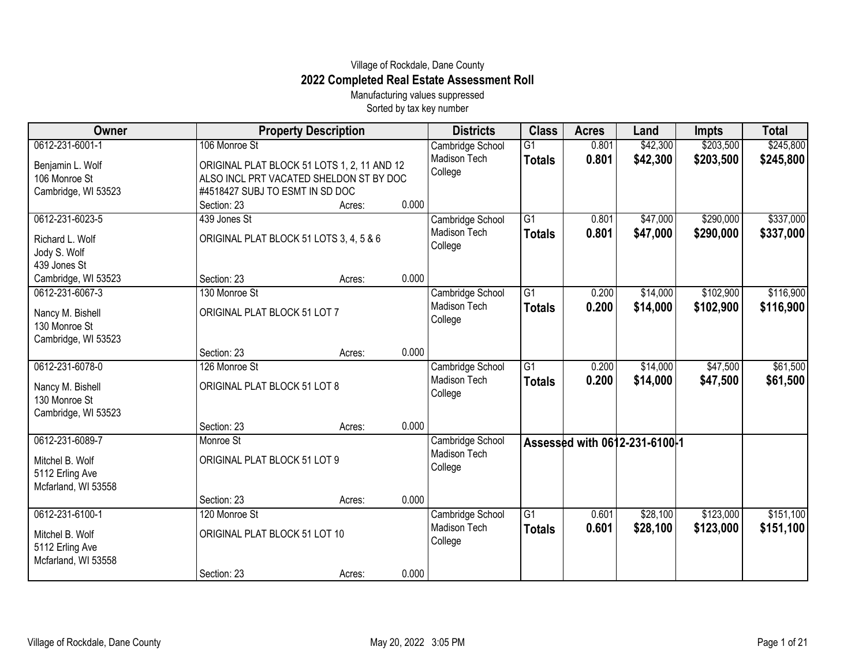## Village of Rockdale, Dane County **2022 Completed Real Estate Assessment Roll**

Manufacturing values suppressed Sorted by tax key number

| Owner                                                     | <b>Property Description</b>                                                                                               |        |       | <b>Districts</b>                                   | <b>Class</b>        | <b>Acres</b>   | Land                          | <b>Impts</b>           | <b>Total</b>           |
|-----------------------------------------------------------|---------------------------------------------------------------------------------------------------------------------------|--------|-------|----------------------------------------------------|---------------------|----------------|-------------------------------|------------------------|------------------------|
| 0612-231-6001-1                                           | 106 Monroe St                                                                                                             |        |       | Cambridge School                                   | $\overline{G1}$     | 0.801          | \$42,300                      | \$203,500              | \$245,800              |
| Benjamin L. Wolf<br>106 Monroe St<br>Cambridge, WI 53523  | ORIGINAL PLAT BLOCK 51 LOTS 1, 2, 11 AND 12<br>ALSO INCL PRT VACATED SHELDON ST BY DOC<br>#4518427 SUBJ TO ESMT IN SD DOC |        |       | Madison Tech<br>College                            | <b>Totals</b>       | 0.801          | \$42,300                      | \$203,500              | \$245,800              |
|                                                           | Section: 23                                                                                                               | Acres: | 0.000 |                                                    |                     |                |                               |                        |                        |
| 0612-231-6023-5                                           | 439 Jones St                                                                                                              |        |       | Cambridge School                                   | G1                  | 0.801          | \$47,000                      | \$290,000              | \$337,000              |
| Richard L. Wolf<br>Jody S. Wolf                           | ORIGINAL PLAT BLOCK 51 LOTS 3, 4, 5 & 6                                                                                   |        |       | Madison Tech<br>College                            | <b>Totals</b>       | 0.801          | \$47,000                      | \$290,000              | \$337,000              |
| 439 Jones St                                              |                                                                                                                           |        |       |                                                    |                     |                |                               |                        |                        |
| Cambridge, WI 53523                                       | Section: 23                                                                                                               | Acres: | 0.000 |                                                    |                     |                |                               |                        |                        |
| 0612-231-6067-3<br>Nancy M. Bishell<br>130 Monroe St      | 130 Monroe St<br>ORIGINAL PLAT BLOCK 51 LOT 7                                                                             |        |       | Cambridge School<br>Madison Tech<br>College        | G1<br><b>Totals</b> | 0.200<br>0.200 | \$14,000<br>\$14,000          | \$102,900<br>\$102,900 | \$116,900<br>\$116,900 |
| Cambridge, WI 53523                                       |                                                                                                                           |        |       |                                                    |                     |                |                               |                        |                        |
| 0612-231-6078-0                                           | Section: 23<br>126 Monroe St                                                                                              | Acres: | 0.000 |                                                    | $\overline{G1}$     |                | \$14,000                      | \$47,500               | \$61,500               |
| Nancy M. Bishell<br>130 Monroe St<br>Cambridge, WI 53523  | ORIGINAL PLAT BLOCK 51 LOT 8                                                                                              |        |       | Cambridge School<br><b>Madison Tech</b><br>College | <b>Totals</b>       | 0.200<br>0.200 | \$14,000                      | \$47,500               | \$61,500               |
|                                                           | Section: 23                                                                                                               | Acres: | 0.000 |                                                    |                     |                |                               |                        |                        |
| 0612-231-6089-7                                           | Monroe St                                                                                                                 |        |       | Cambridge School                                   |                     |                | Assessed with 0612-231-6100-1 |                        |                        |
| Mitchel B. Wolf<br>5112 Erling Ave<br>Mcfarland, WI 53558 | ORIGINAL PLAT BLOCK 51 LOT 9                                                                                              |        |       | Madison Tech<br>College                            |                     |                |                               |                        |                        |
|                                                           | Section: 23                                                                                                               | Acres: | 0.000 |                                                    |                     |                |                               |                        |                        |
| 0612-231-6100-1                                           | 120 Monroe St                                                                                                             |        |       | Cambridge School                                   | $\overline{G1}$     | 0.601          | \$28,100                      | \$123,000              | \$151,100              |
| Mitchel B. Wolf<br>5112 Erling Ave<br>Mcfarland, WI 53558 | ORIGINAL PLAT BLOCK 51 LOT 10                                                                                             |        |       | <b>Madison Tech</b><br>College                     | <b>Totals</b>       | 0.601          | \$28,100                      | \$123,000              | \$151,100              |
|                                                           | Section: 23                                                                                                               | Acres: | 0.000 |                                                    |                     |                |                               |                        |                        |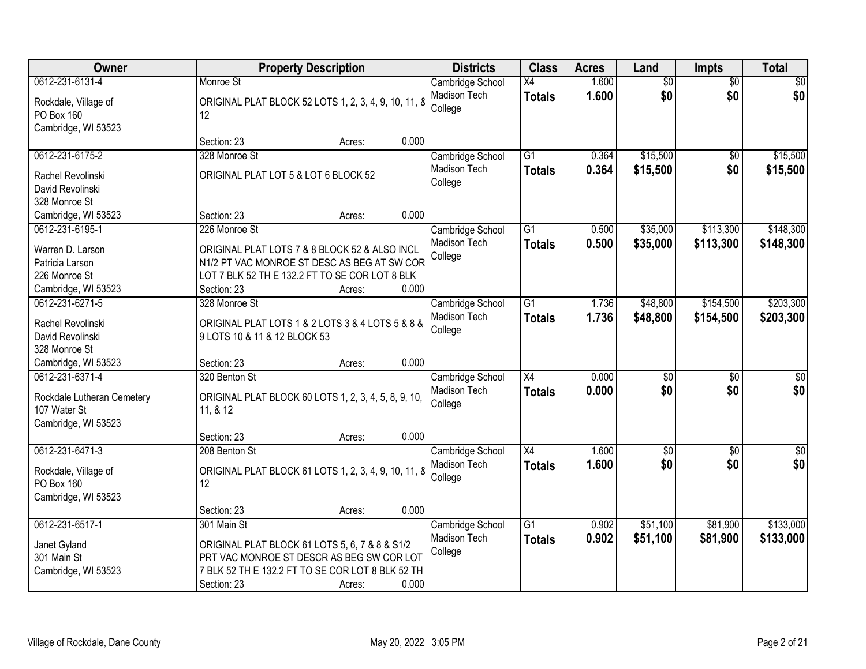| <b>Owner</b>                       |                                                            | <b>Property Description</b> |       | <b>Districts</b>        | <b>Class</b>    | <b>Acres</b> | Land            | Impts           | <b>Total</b> |
|------------------------------------|------------------------------------------------------------|-----------------------------|-------|-------------------------|-----------------|--------------|-----------------|-----------------|--------------|
| 0612-231-6131-4                    | Monroe St                                                  |                             |       | Cambridge School        | $\overline{X4}$ | 1.600        | $\overline{60}$ | $\overline{50}$ | \$0          |
| Rockdale, Village of<br>PO Box 160 | ORIGINAL PLAT BLOCK 52 LOTS 1, 2, 3, 4, 9, 10, 11, 8<br>12 |                             |       | Madison Tech<br>College | <b>Totals</b>   | 1.600        | \$0             | \$0             | \$0          |
| Cambridge, WI 53523                |                                                            |                             |       |                         |                 |              |                 |                 |              |
|                                    | Section: 23                                                | Acres:                      | 0.000 |                         |                 |              |                 |                 |              |
| 0612-231-6175-2                    | 328 Monroe St                                              |                             |       | Cambridge School        | $\overline{G1}$ | 0.364        | \$15,500        | \$0             | \$15,500     |
| Rachel Revolinski                  | ORIGINAL PLAT LOT 5 & LOT 6 BLOCK 52                       |                             |       | <b>Madison Tech</b>     | <b>Totals</b>   | 0.364        | \$15,500        | \$0             | \$15,500     |
| David Revolinski                   |                                                            |                             |       | College                 |                 |              |                 |                 |              |
| 328 Monroe St                      |                                                            |                             |       |                         |                 |              |                 |                 |              |
| Cambridge, WI 53523                | Section: 23                                                | Acres:                      | 0.000 |                         |                 |              |                 |                 |              |
| 0612-231-6195-1                    | 226 Monroe St                                              |                             |       | Cambridge School        | G <sub>1</sub>  | 0.500        | \$35,000        | \$113,300       | \$148,300    |
| Warren D. Larson                   | ORIGINAL PLAT LOTS 7 & 8 BLOCK 52 & ALSO INCL              |                             |       | Madison Tech            | <b>Totals</b>   | 0.500        | \$35,000        | \$113,300       | \$148,300    |
| Patricia Larson                    | N1/2 PT VAC MONROE ST DESC AS BEG AT SW COR                |                             |       | College                 |                 |              |                 |                 |              |
| 226 Monroe St                      | LOT 7 BLK 52 TH E 132.2 FT TO SE COR LOT 8 BLK             |                             |       |                         |                 |              |                 |                 |              |
| Cambridge, WI 53523                | Section: 23                                                | Acres:                      | 0.000 |                         |                 |              |                 |                 |              |
| 0612-231-6271-5                    | 328 Monroe St                                              |                             |       | Cambridge School        | $\overline{G1}$ | 1.736        | \$48,800        | \$154,500       | \$203,300    |
|                                    |                                                            |                             |       | Madison Tech            | <b>Totals</b>   | 1.736        | \$48,800        | \$154,500       | \$203,300    |
| Rachel Revolinski                  | ORIGINAL PLAT LOTS 1 & 2 LOTS 3 & 4 LOTS 5 & 8 &           |                             |       | College                 |                 |              |                 |                 |              |
| David Revolinski                   | 9 LOTS 10 & 11 & 12 BLOCK 53                               |                             |       |                         |                 |              |                 |                 |              |
| 328 Monroe St                      |                                                            |                             |       |                         |                 |              |                 |                 |              |
| Cambridge, WI 53523                | Section: 23                                                | Acres:                      | 0.000 |                         |                 |              |                 |                 |              |
| 0612-231-6371-4                    | 320 Benton St                                              |                             |       | Cambridge School        | $\overline{X4}$ | 0.000        | \$0             | $\overline{50}$ | \$0          |
| Rockdale Lutheran Cemetery         | ORIGINAL PLAT BLOCK 60 LOTS 1, 2, 3, 4, 5, 8, 9, 10,       |                             |       | Madison Tech            | <b>Totals</b>   | 0.000        | \$0             | \$0             | \$0          |
| 107 Water St                       | 11, & 12                                                   |                             |       | College                 |                 |              |                 |                 |              |
| Cambridge, WI 53523                |                                                            |                             |       |                         |                 |              |                 |                 |              |
|                                    | Section: 23                                                | Acres:                      | 0.000 |                         |                 |              |                 |                 |              |
| 0612-231-6471-3                    | 208 Benton St                                              |                             |       | Cambridge School        | $\overline{X4}$ | 1.600        | $\overline{60}$ | $\overline{50}$ | $\sqrt{60}$  |
| Rockdale, Village of               | ORIGINAL PLAT BLOCK 61 LOTS 1, 2, 3, 4, 9, 10, 11, 8       |                             |       | Madison Tech            | <b>Totals</b>   | 1.600        | \$0             | \$0             | \$0          |
| PO Box 160                         | 12                                                         |                             |       | College                 |                 |              |                 |                 |              |
| Cambridge, WI 53523                |                                                            |                             |       |                         |                 |              |                 |                 |              |
|                                    | Section: 23                                                | Acres:                      | 0.000 |                         |                 |              |                 |                 |              |
| 0612-231-6517-1                    | 301 Main St                                                |                             |       | Cambridge School        | $\overline{G1}$ | 0.902        | \$51,100        | \$81,900        | \$133,000    |
|                                    |                                                            |                             |       | Madison Tech            | <b>Totals</b>   | 0.902        | \$51,100        | \$81,900        | \$133,000    |
| Janet Gyland                       | ORIGINAL PLAT BLOCK 61 LOTS 5, 6, 7 & 8 & S1/2             |                             |       | College                 |                 |              |                 |                 |              |
| 301 Main St                        | PRT VAC MONROE ST DESCR AS BEG SW COR LOT                  |                             |       |                         |                 |              |                 |                 |              |
| Cambridge, WI 53523                | 7 BLK 52 TH E 132.2 FT TO SE COR LOT 8 BLK 52 TH           |                             | 0.000 |                         |                 |              |                 |                 |              |
|                                    | Section: 23                                                | Acres:                      |       |                         |                 |              |                 |                 |              |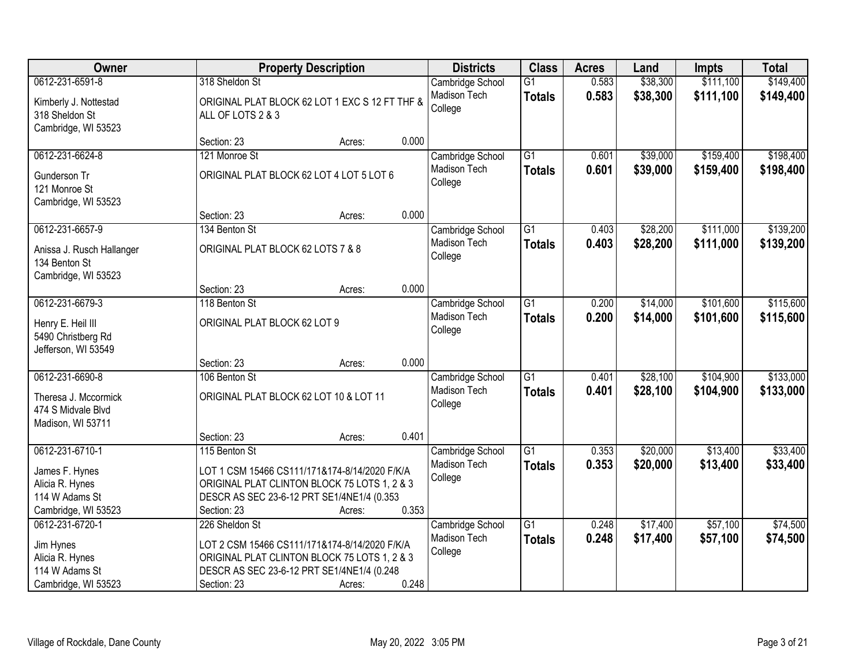| Owner                                                             |                                                                     | <b>Property Description</b> |       | <b>Districts</b>               | <b>Class</b>    | <b>Acres</b> | Land     | <b>Impts</b> | <b>Total</b> |
|-------------------------------------------------------------------|---------------------------------------------------------------------|-----------------------------|-------|--------------------------------|-----------------|--------------|----------|--------------|--------------|
| 0612-231-6591-8                                                   | 318 Sheldon St                                                      |                             |       | Cambridge School               | $\overline{G1}$ | 0.583        | \$38,300 | \$111,100    | \$149,400    |
| Kimberly J. Nottestad<br>318 Sheldon St<br>Cambridge, WI 53523    | ORIGINAL PLAT BLOCK 62 LOT 1 EXC S 12 FT THF &<br>ALL OF LOTS 2 & 3 |                             |       | Madison Tech<br>College        | <b>Totals</b>   | 0.583        | \$38,300 | \$111,100    | \$149,400    |
|                                                                   | Section: 23                                                         | Acres:                      | 0.000 |                                |                 |              |          |              |              |
| 0612-231-6624-8                                                   | 121 Monroe St                                                       |                             |       | Cambridge School               | $\overline{G1}$ | 0.601        | \$39,000 | \$159,400    | \$198,400    |
| Gunderson Tr<br>121 Monroe St<br>Cambridge, WI 53523              | ORIGINAL PLAT BLOCK 62 LOT 4 LOT 5 LOT 6                            |                             |       | <b>Madison Tech</b><br>College | <b>Totals</b>   | 0.601        | \$39,000 | \$159,400    | \$198,400    |
|                                                                   | Section: 23                                                         | Acres:                      | 0.000 |                                |                 |              |          |              |              |
| 0612-231-6657-9                                                   | 134 Benton St                                                       |                             |       | Cambridge School               | G1              | 0.403        | \$28,200 | \$111,000    | \$139,200    |
| Anissa J. Rusch Hallanger<br>134 Benton St<br>Cambridge, WI 53523 | ORIGINAL PLAT BLOCK 62 LOTS 7 & 8                                   |                             |       | Madison Tech<br>College        | <b>Totals</b>   | 0.403        | \$28,200 | \$111,000    | \$139,200    |
|                                                                   | Section: 23                                                         | Acres:                      | 0.000 |                                |                 |              |          |              |              |
| 0612-231-6679-3                                                   | 118 Benton St                                                       |                             |       | Cambridge School               | $\overline{G1}$ | 0.200        | \$14,000 | \$101,600    | \$115,600    |
| Henry E. Heil III<br>5490 Christberg Rd<br>Jefferson, WI 53549    | ORIGINAL PLAT BLOCK 62 LOT 9                                        |                             |       | Madison Tech<br>College        | <b>Totals</b>   | 0.200        | \$14,000 | \$101,600    | \$115,600    |
|                                                                   | Section: 23                                                         | Acres:                      | 0.000 |                                |                 |              |          |              |              |
| 0612-231-6690-8                                                   | 106 Benton St                                                       |                             |       | Cambridge School               | $\overline{G1}$ | 0.401        | \$28,100 | \$104,900    | \$133,000    |
| Theresa J. Mccormick<br>474 S Midvale Blvd<br>Madison, WI 53711   | ORIGINAL PLAT BLOCK 62 LOT 10 & LOT 11                              |                             |       | Madison Tech<br>College        | <b>Totals</b>   | 0.401        | \$28,100 | \$104,900    | \$133,000    |
|                                                                   | Section: 23                                                         | Acres:                      | 0.401 |                                |                 |              |          |              |              |
| 0612-231-6710-1                                                   | 115 Benton St                                                       |                             |       | Cambridge School               | $\overline{G1}$ | 0.353        | \$20,000 | \$13,400     | \$33,400     |
| James F. Hynes                                                    | LOT 1 CSM 15466 CS111/171&174-8/14/2020 F/K/A                       |                             |       | Madison Tech                   | <b>Totals</b>   | 0.353        | \$20,000 | \$13,400     | \$33,400     |
| Alicia R. Hynes                                                   | ORIGINAL PLAT CLINTON BLOCK 75 LOTS 1, 2 & 3                        |                             |       | College                        |                 |              |          |              |              |
| 114 W Adams St                                                    | DESCR AS SEC 23-6-12 PRT SE1/4NE1/4 (0.353                          |                             |       |                                |                 |              |          |              |              |
| Cambridge, WI 53523                                               | Section: 23                                                         | Acres:                      | 0.353 |                                |                 |              |          |              |              |
| 0612-231-6720-1                                                   | 226 Sheldon St                                                      |                             |       | Cambridge School               | $\overline{G1}$ | 0.248        | \$17,400 | \$57,100     | \$74,500     |
| Jim Hynes                                                         | LOT 2 CSM 15466 CS111/171&174-8/14/2020 F/K/A                       |                             |       | Madison Tech                   | <b>Totals</b>   | 0.248        | \$17,400 | \$57,100     | \$74,500     |
| Alicia R. Hynes                                                   | ORIGINAL PLAT CLINTON BLOCK 75 LOTS 1, 2 & 3                        |                             |       | College                        |                 |              |          |              |              |
| 114 W Adams St                                                    | DESCR AS SEC 23-6-12 PRT SE1/4NE1/4 (0.248                          |                             |       |                                |                 |              |          |              |              |
| Cambridge, WI 53523                                               | Section: 23                                                         | Acres:                      | 0.248 |                                |                 |              |          |              |              |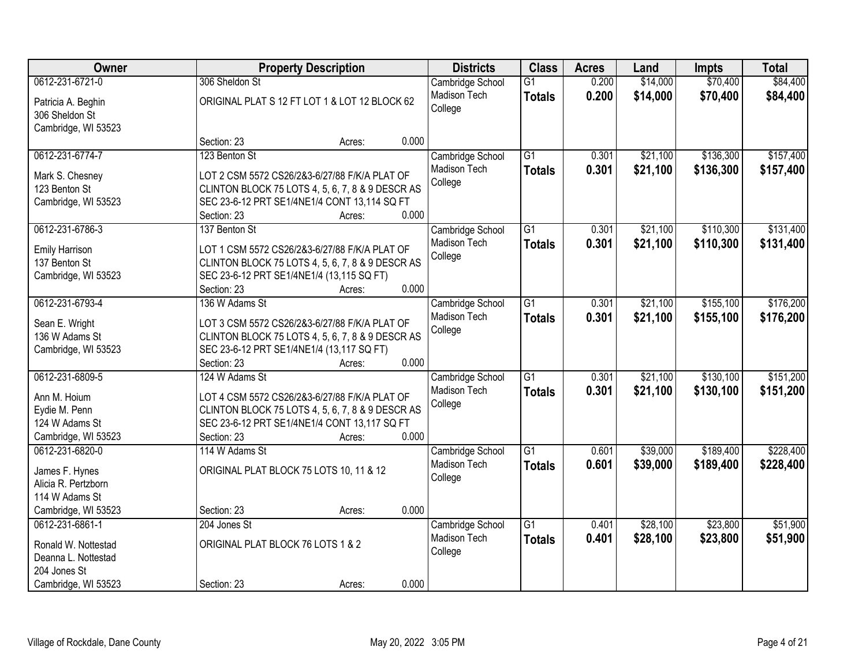| Owner                                  | <b>Property Description</b>                      |       | <b>Districts</b>    | <b>Class</b>    | <b>Acres</b> | Land     | <b>Impts</b> | <b>Total</b> |
|----------------------------------------|--------------------------------------------------|-------|---------------------|-----------------|--------------|----------|--------------|--------------|
| 0612-231-6721-0                        | 306 Sheldon St                                   |       | Cambridge School    | $\overline{G1}$ | 0.200        | \$14,000 | \$70,400     | \$84,400     |
| Patricia A. Beghin                     | ORIGINAL PLAT S 12 FT LOT 1 & LOT 12 BLOCK 62    |       | Madison Tech        | <b>Totals</b>   | 0.200        | \$14,000 | \$70,400     | \$84,400     |
| 306 Sheldon St                         |                                                  |       | College             |                 |              |          |              |              |
| Cambridge, WI 53523                    |                                                  |       |                     |                 |              |          |              |              |
|                                        | Section: 23<br>Acres:                            | 0.000 |                     |                 |              |          |              |              |
| 0612-231-6774-7                        | 123 Benton St                                    |       | Cambridge School    | $\overline{G1}$ | 0.301        | \$21,100 | \$136,300    | \$157,400    |
| Mark S. Chesney                        | LOT 2 CSM 5572 CS26/2&3-6/27/88 F/K/A PLAT OF    |       | Madison Tech        | <b>Totals</b>   | 0.301        | \$21,100 | \$136,300    | \$157,400    |
| 123 Benton St                          | CLINTON BLOCK 75 LOTS 4, 5, 6, 7, 8 & 9 DESCR AS |       | College             |                 |              |          |              |              |
| Cambridge, WI 53523                    | SEC 23-6-12 PRT SE1/4NE1/4 CONT 13,114 SQ FT     |       |                     |                 |              |          |              |              |
|                                        | Section: 23<br>Acres:                            | 0.000 |                     |                 |              |          |              |              |
| 0612-231-6786-3                        | 137 Benton St                                    |       | Cambridge School    | $\overline{G1}$ | 0.301        | \$21,100 | \$110,300    | \$131,400    |
|                                        | LOT 1 CSM 5572 CS26/2&3-6/27/88 F/K/A PLAT OF    |       | Madison Tech        | <b>Totals</b>   | 0.301        | \$21,100 | \$110,300    | \$131,400    |
| <b>Emily Harrison</b><br>137 Benton St | CLINTON BLOCK 75 LOTS 4, 5, 6, 7, 8 & 9 DESCR AS |       | College             |                 |              |          |              |              |
| Cambridge, WI 53523                    | SEC 23-6-12 PRT SE1/4NE1/4 (13,115 SQ FT)        |       |                     |                 |              |          |              |              |
|                                        | Section: 23<br>Acres:                            | 0.000 |                     |                 |              |          |              |              |
| 0612-231-6793-4                        | 136 W Adams St                                   |       | Cambridge School    | $\overline{G1}$ | 0.301        | \$21,100 | \$155,100    | \$176,200    |
|                                        |                                                  |       | Madison Tech        | <b>Totals</b>   | 0.301        | \$21,100 | \$155,100    | \$176,200    |
| Sean E. Wright                         | LOT 3 CSM 5572 CS26/2&3-6/27/88 F/K/A PLAT OF    |       | College             |                 |              |          |              |              |
| 136 W Adams St                         | CLINTON BLOCK 75 LOTS 4, 5, 6, 7, 8 & 9 DESCR AS |       |                     |                 |              |          |              |              |
| Cambridge, WI 53523                    | SEC 23-6-12 PRT SE1/4NE1/4 (13,117 SQ FT)        |       |                     |                 |              |          |              |              |
|                                        | Section: 23<br>Acres:                            | 0.000 |                     |                 |              |          |              |              |
| 0612-231-6809-5                        | 124 W Adams St                                   |       | Cambridge School    | $\overline{G1}$ | 0.301        | \$21,100 | \$130,100    | \$151,200    |
| Ann M. Hoium                           | LOT 4 CSM 5572 CS26/2&3-6/27/88 F/K/A PLAT OF    |       | Madison Tech        | <b>Totals</b>   | 0.301        | \$21,100 | \$130,100    | \$151,200    |
| Eydie M. Penn                          | CLINTON BLOCK 75 LOTS 4, 5, 6, 7, 8 & 9 DESCR AS |       | College             |                 |              |          |              |              |
| 124 W Adams St                         | SEC 23-6-12 PRT SE1/4NE1/4 CONT 13,117 SQ FT     |       |                     |                 |              |          |              |              |
| Cambridge, WI 53523                    | Section: 23<br>Acres:                            | 0.000 |                     |                 |              |          |              |              |
| 0612-231-6820-0                        | 114 W Adams St                                   |       | Cambridge School    | $\overline{G1}$ | 0.601        | \$39,000 | \$189,400    | \$228,400    |
| James F. Hynes                         | ORIGINAL PLAT BLOCK 75 LOTS 10, 11 & 12          |       | <b>Madison Tech</b> | <b>Totals</b>   | 0.601        | \$39,000 | \$189,400    | \$228,400    |
| Alicia R. Pertzborn                    |                                                  |       | College             |                 |              |          |              |              |
| 114 W Adams St                         |                                                  |       |                     |                 |              |          |              |              |
| Cambridge, WI 53523                    | Section: 23<br>Acres:                            | 0.000 |                     |                 |              |          |              |              |
| 0612-231-6861-1                        | 204 Jones St                                     |       | Cambridge School    | $\overline{G1}$ | 0.401        | \$28,100 | \$23,800     | \$51,900     |
|                                        |                                                  |       | Madison Tech        | <b>Totals</b>   | 0.401        | \$28,100 | \$23,800     | \$51,900     |
| Ronald W. Nottestad                    | ORIGINAL PLAT BLOCK 76 LOTS 1 & 2                |       | College             |                 |              |          |              |              |
| Deanna L. Nottestad<br>204 Jones St    |                                                  |       |                     |                 |              |          |              |              |
| Cambridge, WI 53523                    | Section: 23<br>Acres:                            | 0.000 |                     |                 |              |          |              |              |
|                                        |                                                  |       |                     |                 |              |          |              |              |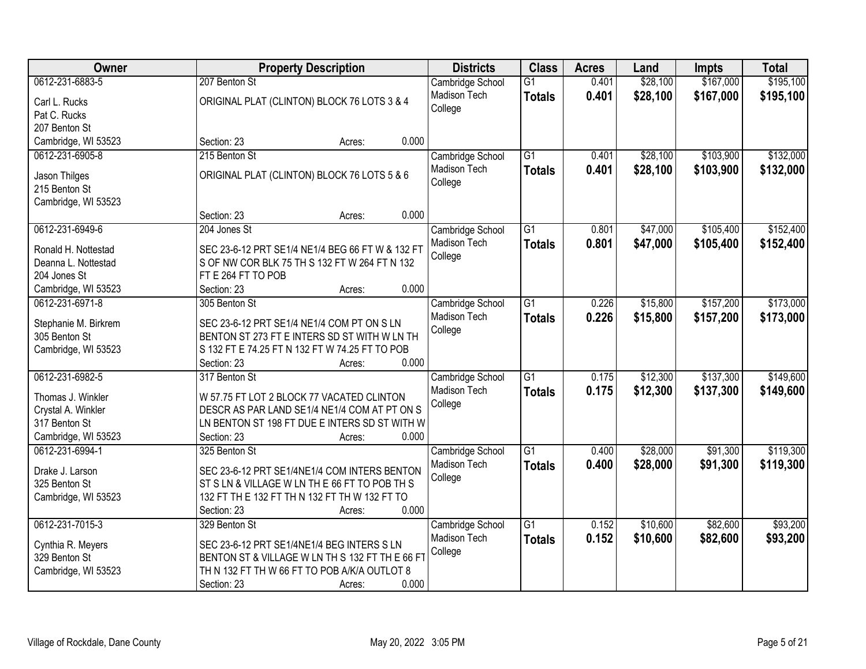| Owner                          | <b>Property Description</b>                      | <b>Districts</b> | <b>Class</b>    | <b>Acres</b> | Land     | <b>Impts</b> | <b>Total</b> |
|--------------------------------|--------------------------------------------------|------------------|-----------------|--------------|----------|--------------|--------------|
| 0612-231-6883-5                | 207 Benton St                                    | Cambridge School | $\overline{G1}$ | 0.401        | \$28,100 | \$167,000    | \$195,100    |
| Carl L. Rucks                  | ORIGINAL PLAT (CLINTON) BLOCK 76 LOTS 3 & 4      | Madison Tech     | <b>Totals</b>   | 0.401        | \$28,100 | \$167,000    | \$195,100    |
| Pat C. Rucks                   |                                                  | College          |                 |              |          |              |              |
| 207 Benton St                  |                                                  |                  |                 |              |          |              |              |
| Cambridge, WI 53523            | 0.000<br>Section: 23<br>Acres:                   |                  |                 |              |          |              |              |
| 0612-231-6905-8                | 215 Benton St                                    | Cambridge School | $\overline{G1}$ | 0.401        | \$28,100 | \$103,900    | \$132,000    |
|                                | ORIGINAL PLAT (CLINTON) BLOCK 76 LOTS 5 & 6      | Madison Tech     | <b>Totals</b>   | 0.401        | \$28,100 | \$103,900    | \$132,000    |
| Jason Thilges<br>215 Benton St |                                                  | College          |                 |              |          |              |              |
| Cambridge, WI 53523            |                                                  |                  |                 |              |          |              |              |
|                                | 0.000<br>Section: 23<br>Acres:                   |                  |                 |              |          |              |              |
| 0612-231-6949-6                | 204 Jones St                                     | Cambridge School | $\overline{G1}$ | 0.801        | \$47,000 | \$105,400    | \$152,400    |
|                                |                                                  | Madison Tech     | <b>Totals</b>   | 0.801        | \$47,000 | \$105,400    | \$152,400    |
| Ronald H. Nottestad            | SEC 23-6-12 PRT SE1/4 NE1/4 BEG 66 FT W & 132 FT | College          |                 |              |          |              |              |
| Deanna L. Nottestad            | S OF NW COR BLK 75 TH S 132 FT W 264 FT N 132    |                  |                 |              |          |              |              |
| 204 Jones St                   | FT E 264 FT TO POB                               |                  |                 |              |          |              |              |
| Cambridge, WI 53523            | 0.000<br>Section: 23<br>Acres:                   |                  |                 |              |          |              |              |
| 0612-231-6971-8                | 305 Benton St                                    | Cambridge School | $\overline{G1}$ | 0.226        | \$15,800 | \$157,200    | \$173,000    |
| Stephanie M. Birkrem           | SEC 23-6-12 PRT SE1/4 NE1/4 COM PT ON S LN       | Madison Tech     | <b>Totals</b>   | 0.226        | \$15,800 | \$157,200    | \$173,000    |
| 305 Benton St                  | BENTON ST 273 FT E INTERS SD ST WITH W LN TH     | College          |                 |              |          |              |              |
| Cambridge, WI 53523            | S 132 FT E 74.25 FT N 132 FT W 74.25 FT TO POB   |                  |                 |              |          |              |              |
|                                | 0.000<br>Section: 23<br>Acres:                   |                  |                 |              |          |              |              |
| 0612-231-6982-5                | 317 Benton St                                    | Cambridge School | $\overline{G1}$ | 0.175        | \$12,300 | \$137,300    | \$149,600    |
| Thomas J. Winkler              | W 57.75 FT LOT 2 BLOCK 77 VACATED CLINTON        | Madison Tech     | <b>Totals</b>   | 0.175        | \$12,300 | \$137,300    | \$149,600    |
| Crystal A. Winkler             | DESCR AS PAR LAND SE1/4 NE1/4 COM AT PT ON S     | College          |                 |              |          |              |              |
| 317 Benton St                  | LN BENTON ST 198 FT DUE E INTERS SD ST WITH W    |                  |                 |              |          |              |              |
| Cambridge, WI 53523            | 0.000<br>Section: 23<br>Acres:                   |                  |                 |              |          |              |              |
| 0612-231-6994-1                | 325 Benton St                                    | Cambridge School | $\overline{G1}$ | 0.400        | \$28,000 | \$91,300     | \$119,300    |
|                                |                                                  | Madison Tech     | <b>Totals</b>   | 0.400        | \$28,000 | \$91,300     | \$119,300    |
| Drake J. Larson                | SEC 23-6-12 PRT SE1/4NE1/4 COM INTERS BENTON     | College          |                 |              |          |              |              |
| 325 Benton St                  | ST S LN & VILLAGE W LN TH E 66 FT TO POB TH S    |                  |                 |              |          |              |              |
| Cambridge, WI 53523            | 132 FT TH E 132 FT TH N 132 FT TH W 132 FT TO    |                  |                 |              |          |              |              |
|                                | 0.000<br>Section: 23<br>Acres:                   |                  |                 |              |          |              |              |
| 0612-231-7015-3                | 329 Benton St                                    | Cambridge School | $\overline{G1}$ | 0.152        | \$10,600 | \$82,600     | \$93,200     |
| Cynthia R. Meyers              | SEC 23-6-12 PRT SE1/4NE1/4 BEG INTERS S LN       | Madison Tech     | <b>Totals</b>   | 0.152        | \$10,600 | \$82,600     | \$93,200     |
| 329 Benton St                  | BENTON ST & VILLAGE W LN TH S 132 FT TH E 66 FT  | College          |                 |              |          |              |              |
| Cambridge, WI 53523            | TH N 132 FT TH W 66 FT TO POB A/K/A OUTLOT 8     |                  |                 |              |          |              |              |
|                                | 0.000<br>Section: 23<br>Acres:                   |                  |                 |              |          |              |              |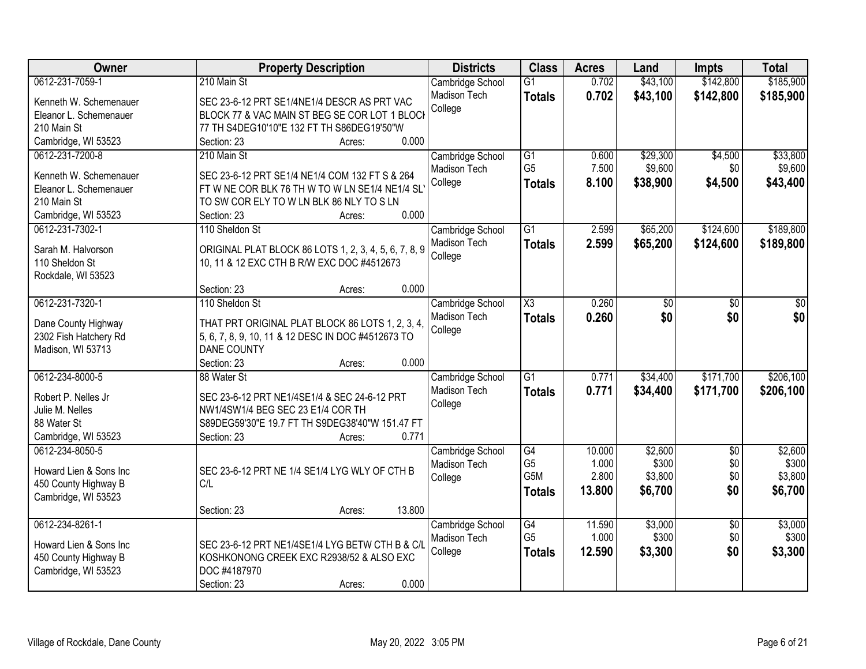| <b>Owner</b>           | <b>Property Description</b>                           | <b>Districts</b>                 | <b>Class</b>           | <b>Acres</b>    | Land             | <b>Impts</b>           | <b>Total</b>     |
|------------------------|-------------------------------------------------------|----------------------------------|------------------------|-----------------|------------------|------------------------|------------------|
| 0612-231-7059-1        | 210 Main St                                           | Cambridge School                 | $\overline{G1}$        | 0.702           | \$43,100         | \$142,800              | \$185,900        |
| Kenneth W. Schemenauer | SEC 23-6-12 PRT SE1/4NE1/4 DESCR AS PRT VAC           | Madison Tech                     | <b>Totals</b>          | 0.702           | \$43,100         | \$142,800              | \$185,900        |
| Eleanor L. Schemenauer | BLOCK 77 & VAC MAIN ST BEG SE COR LOT 1 BLOCK         | College                          |                        |                 |                  |                        |                  |
| 210 Main St            | 77 TH S4DEG10'10"E 132 FT TH S86DEG19'50"W            |                                  |                        |                 |                  |                        |                  |
| Cambridge, WI 53523    | 0.000<br>Section: 23<br>Acres:                        |                                  |                        |                 |                  |                        |                  |
| 0612-231-7200-8        | 210 Main St                                           | Cambridge School                 | G1                     | 0.600           | \$29,300         | \$4,500                | \$33,800         |
|                        |                                                       | Madison Tech                     | G <sub>5</sub>         | 7.500           | \$9,600          | \$0                    | \$9,600          |
| Kenneth W. Schemenauer | SEC 23-6-12 PRT SE1/4 NE1/4 COM 132 FT S & 264        | College                          | <b>Totals</b>          | 8.100           | \$38,900         | \$4,500                | \$43,400         |
| Eleanor L. Schemenauer | FT W NE COR BLK 76 TH W TO W LN SE1/4 NE1/4 SL        |                                  |                        |                 |                  |                        |                  |
| 210 Main St            | TO SW COR ELY TO W LN BLK 86 NLY TO S LN              |                                  |                        |                 |                  |                        |                  |
| Cambridge, WI 53523    | 0.000<br>Section: 23<br>Acres:                        |                                  |                        |                 |                  |                        |                  |
| 0612-231-7302-1        | 110 Sheldon St                                        | Cambridge School                 | $\overline{G1}$        | 2.599           | \$65,200         | \$124,600              | \$189,800        |
| Sarah M. Halvorson     | ORIGINAL PLAT BLOCK 86 LOTS 1, 2, 3, 4, 5, 6, 7, 8, 9 | Madison Tech                     | <b>Totals</b>          | 2.599           | \$65,200         | \$124,600              | \$189,800        |
| 110 Sheldon St         | 10, 11 & 12 EXC CTH B R/W EXC DOC #4512673            | College                          |                        |                 |                  |                        |                  |
| Rockdale, WI 53523     |                                                       |                                  |                        |                 |                  |                        |                  |
|                        | 0.000<br>Section: 23<br>Acres:                        |                                  |                        |                 |                  |                        |                  |
| 0612-231-7320-1        | 110 Sheldon St                                        | Cambridge School                 | $\overline{\text{X3}}$ | 0.260           | \$0              | \$0                    | \$0              |
|                        |                                                       | Madison Tech                     | <b>Totals</b>          | 0.260           | \$0              | \$0                    | \$0              |
| Dane County Highway    | THAT PRT ORIGINAL PLAT BLOCK 86 LOTS 1, 2, 3, 4,      | College                          |                        |                 |                  |                        |                  |
| 2302 Fish Hatchery Rd  | 5, 6, 7, 8, 9, 10, 11 & 12 DESC IN DOC #4512673 TO    |                                  |                        |                 |                  |                        |                  |
| Madison, WI 53713      | DANE COUNTY<br>0.000                                  |                                  |                        |                 |                  |                        |                  |
| 0612-234-8000-5        | Section: 23<br>Acres:                                 |                                  | $\overline{G1}$        | 0.771           |                  | \$171,700              | \$206,100        |
|                        | 88 Water St                                           | Cambridge School                 |                        |                 | \$34,400         |                        |                  |
| Robert P. Nelles Jr    | SEC 23-6-12 PRT NE1/4SE1/4 & SEC 24-6-12 PRT          | Madison Tech                     | <b>Totals</b>          | 0.771           | \$34,400         | \$171,700              | \$206,100        |
| Julie M. Nelles        | NW1/4SW1/4 BEG SEC 23 E1/4 COR TH                     | College                          |                        |                 |                  |                        |                  |
| 88 Water St            | S89DEG59'30"E 19.7 FT TH S9DEG38'40"W 151.47 FT       |                                  |                        |                 |                  |                        |                  |
| Cambridge, WI 53523    | 0.771<br>Section: 23<br>Acres:                        |                                  |                        |                 |                  |                        |                  |
| 0612-234-8050-5        |                                                       | Cambridge School                 | G4                     | 10.000          | \$2,600          | $\overline{50}$        | \$2,600          |
| Howard Lien & Sons Inc | SEC 23-6-12 PRT NE 1/4 SE1/4 LYG WLY OF CTH B         | Madison Tech                     | G <sub>5</sub>         | 1.000           | \$300            | \$0                    | \$300            |
|                        | C/L                                                   | College                          | G5M                    | 2.800           | \$3,800          | \$0                    | \$3,800          |
| 450 County Highway B   |                                                       |                                  | <b>Totals</b>          | 13,800          | \$6,700          | \$0                    | \$6,700          |
| Cambridge, WI 53523    | 13.800                                                |                                  |                        |                 |                  |                        |                  |
|                        | Section: 23<br>Acres:                                 |                                  |                        |                 |                  |                        |                  |
| 0612-234-8261-1        |                                                       | Cambridge School<br>Madison Tech | G4<br>G <sub>5</sub>   | 11.590<br>1.000 | \$3,000<br>\$300 | $\overline{50}$<br>\$0 | \$3,000<br>\$300 |
| Howard Lien & Sons Inc | SEC 23-6-12 PRT NE1/4SE1/4 LYG BETW CTH B & C/L       |                                  |                        |                 |                  |                        |                  |
| 450 County Highway B   | KOSHKONONG CREEK EXC R2938/52 & ALSO EXC              | College                          | <b>Totals</b>          | 12.590          | \$3,300          | \$0                    | \$3,300          |
| Cambridge, WI 53523    | DOC #4187970                                          |                                  |                        |                 |                  |                        |                  |
|                        | 0.000<br>Section: 23<br>Acres:                        |                                  |                        |                 |                  |                        |                  |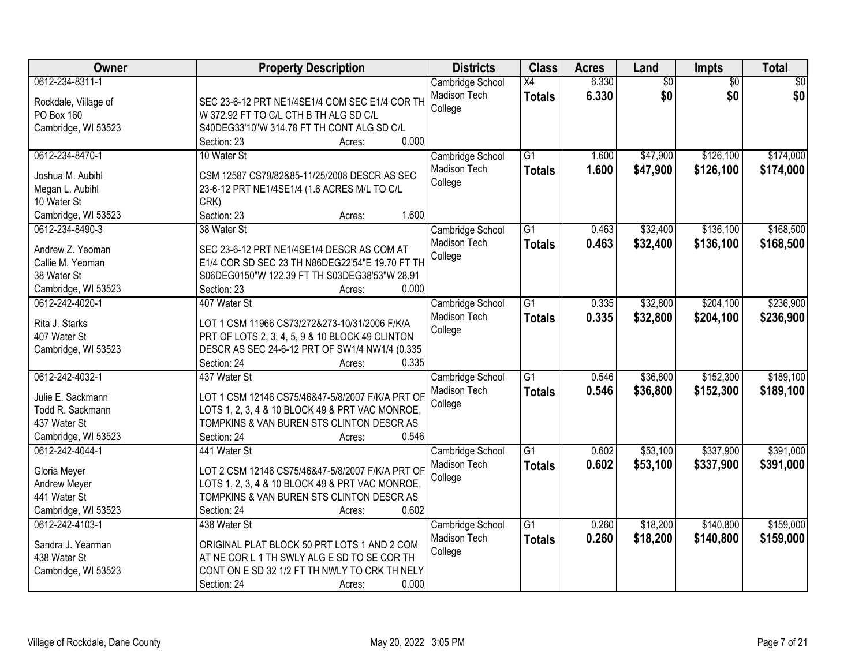| Owner                                                                                           | <b>Property Description</b>                                                                                                                                                                          | <b>Districts</b>                                   | <b>Class</b>                     | <b>Acres</b>   | Land                   | Impts                  | <b>Total</b>           |
|-------------------------------------------------------------------------------------------------|------------------------------------------------------------------------------------------------------------------------------------------------------------------------------------------------------|----------------------------------------------------|----------------------------------|----------------|------------------------|------------------------|------------------------|
| 0612-234-8311-1<br>Rockdale, Village of<br>PO Box 160<br>Cambridge, WI 53523                    | SEC 23-6-12 PRT NE1/4SE1/4 COM SEC E1/4 COR TH<br>W 372.92 FT TO C/L CTH B TH ALG SD C/L<br>S40DEG33'10"W 314.78 FT TH CONT ALG SD C/L<br>0.000<br>Section: 23<br>Acres:                             | Cambridge School<br>Madison Tech<br>College        | X4<br><b>Totals</b>              | 6.330<br>6.330 | $\overline{60}$<br>\$0 | $\overline{50}$<br>\$0 | \$0<br>\$0             |
| 0612-234-8470-1<br>Joshua M. Aubihl<br>Megan L. Aubihl<br>10 Water St<br>Cambridge, WI 53523    | 10 Water St<br>CSM 12587 CS79/82&85-11/25/2008 DESCR AS SEC<br>23-6-12 PRT NE1/4SE1/4 (1.6 ACRES M/L TO C/L<br>CRK)<br>Section: 23<br>1.600<br>Acres:                                                | Cambridge School<br>Madison Tech<br>College        | $\overline{G1}$<br><b>Totals</b> | 1.600<br>1.600 | \$47,900<br>\$47,900   | \$126,100<br>\$126,100 | \$174,000<br>\$174,000 |
| 0612-234-8490-3<br>Andrew Z. Yeoman<br>Callie M. Yeoman<br>38 Water St<br>Cambridge, WI 53523   | 38 Water St<br>SEC 23-6-12 PRT NE1/4SE1/4 DESCR AS COM AT<br>E1/4 COR SD SEC 23 TH N86DEG22'54"E 19.70 FT TH<br>S06DEG0150"W 122.39 FT TH S03DEG38'53"W 28.91<br>Section: 23<br>0.000<br>Acres:      | Cambridge School<br>Madison Tech<br>College        | $\overline{G1}$<br><b>Totals</b> | 0.463<br>0.463 | \$32,400<br>\$32,400   | \$136,100<br>\$136,100 | \$168,500<br>\$168,500 |
| 0612-242-4020-1<br>Rita J. Starks<br>407 Water St<br>Cambridge, WI 53523                        | 407 Water St<br>LOT 1 CSM 11966 CS73/272&273-10/31/2006 F/K/A<br>PRT OF LOTS 2, 3, 4, 5, 9 & 10 BLOCK 49 CLINTON<br>DESCR AS SEC 24-6-12 PRT OF SW1/4 NW1/4 (0.335<br>Section: 24<br>0.335<br>Acres: | Cambridge School<br>Madison Tech<br>College        | $\overline{G1}$<br><b>Totals</b> | 0.335<br>0.335 | \$32,800<br>\$32,800   | \$204,100<br>\$204,100 | \$236,900<br>\$236,900 |
| 0612-242-4032-1<br>Julie E. Sackmann<br>Todd R. Sackmann<br>437 Water St<br>Cambridge, WI 53523 | 437 Water St<br>LOT 1 CSM 12146 CS75/46&47-5/8/2007 F/K/A PRT OF<br>LOTS 1, 2, 3, 4 & 10 BLOCK 49 & PRT VAC MONROE.<br>TOMPKINS & VAN BUREN STS CLINTON DESCR AS<br>0.546<br>Section: 24<br>Acres:   | Cambridge School<br>Madison Tech<br>College        | $\overline{G1}$<br><b>Totals</b> | 0.546<br>0.546 | \$36,800<br>\$36,800   | \$152,300<br>\$152,300 | \$189,100<br>\$189,100 |
| 0612-242-4044-1<br>Gloria Meyer<br>Andrew Meyer<br>441 Water St<br>Cambridge, WI 53523          | 441 Water St<br>LOT 2 CSM 12146 CS75/46&47-5/8/2007 F/K/A PRT OF<br>LOTS 1, 2, 3, 4 & 10 BLOCK 49 & PRT VAC MONROE,<br>TOMPKINS & VAN BUREN STS CLINTON DESCR AS<br>0.602<br>Section: 24<br>Acres:   | Cambridge School<br>Madison Tech<br>College        | G1<br><b>Totals</b>              | 0.602<br>0.602 | \$53,100<br>\$53,100   | \$337,900<br>\$337,900 | \$391,000<br>\$391,000 |
| 0612-242-4103-1<br>Sandra J. Yearman<br>438 Water St<br>Cambridge, WI 53523                     | 438 Water St<br>ORIGINAL PLAT BLOCK 50 PRT LOTS 1 AND 2 COM<br>AT NE COR L 1 TH SWLY ALG E SD TO SE COR TH<br>CONT ON E SD 32 1/2 FT TH NWLY TO CRK TH NELY<br>0.000<br>Section: 24<br>Acres:        | Cambridge School<br><b>Madison Tech</b><br>College | $\overline{G1}$<br><b>Totals</b> | 0.260<br>0.260 | \$18,200<br>\$18,200   | \$140,800<br>\$140,800 | \$159,000<br>\$159,000 |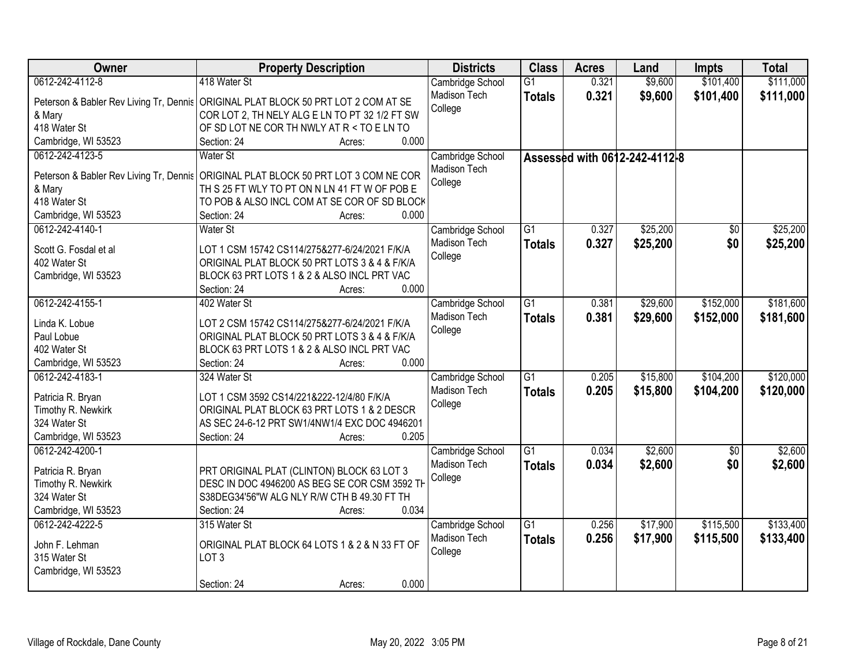| Owner                                   | <b>Property Description</b>                                                          | <b>Districts</b> | <b>Class</b>    | <b>Acres</b> | Land                          | <b>Impts</b>    | <b>Total</b> |
|-----------------------------------------|--------------------------------------------------------------------------------------|------------------|-----------------|--------------|-------------------------------|-----------------|--------------|
| 0612-242-4112-8                         | 418 Water St                                                                         | Cambridge School | G1              | 0.321        | \$9,600                       | \$101,400       | \$111,000    |
|                                         | Peterson & Babler Rev Living Tr, Dennis   ORIGINAL PLAT BLOCK 50 PRT LOT 2 COM AT SE | Madison Tech     | <b>Totals</b>   | 0.321        | \$9,600                       | \$101,400       | \$111,000    |
| & Mary                                  | COR LOT 2, TH NELY ALG E LN TO PT 32 1/2 FT SW                                       | College          |                 |              |                               |                 |              |
| 418 Water St                            | OF SD LOT NE COR TH NWLY AT R < TO E LN TO                                           |                  |                 |              |                               |                 |              |
| Cambridge, WI 53523                     | 0.000<br>Section: 24<br>Acres:                                                       |                  |                 |              |                               |                 |              |
| 0612-242-4123-5                         | <b>Water St</b>                                                                      | Cambridge School |                 |              | Assessed with 0612-242-4112-8 |                 |              |
|                                         |                                                                                      | Madison Tech     |                 |              |                               |                 |              |
| Peterson & Babler Rev Living Tr, Dennis | ORIGINAL PLAT BLOCK 50 PRT LOT 3 COM NE COR                                          | College          |                 |              |                               |                 |              |
| & Mary                                  | TH S 25 FT WLY TO PT ON N LN 41 FT W OF POB E                                        |                  |                 |              |                               |                 |              |
| 418 Water St                            | TO POB & ALSO INCL COM AT SE COR OF SD BLOCK                                         |                  |                 |              |                               |                 |              |
| Cambridge, WI 53523                     | 0.000<br>Section: 24<br>Acres:                                                       |                  |                 |              |                               |                 |              |
| 0612-242-4140-1                         | <b>Water St</b>                                                                      | Cambridge School | G1              | 0.327        | \$25,200                      | \$0             | \$25,200     |
| Scott G. Fosdal et al                   | LOT 1 CSM 15742 CS114/275&277-6/24/2021 F/K/A                                        | Madison Tech     | <b>Totals</b>   | 0.327        | \$25,200                      | \$0             | \$25,200     |
| 402 Water St                            | ORIGINAL PLAT BLOCK 50 PRT LOTS 3 & 4 & F/K/A                                        | College          |                 |              |                               |                 |              |
| Cambridge, WI 53523                     | BLOCK 63 PRT LOTS 1 & 2 & ALSO INCL PRT VAC                                          |                  |                 |              |                               |                 |              |
|                                         | Section: 24<br>0.000<br>Acres:                                                       |                  |                 |              |                               |                 |              |
| 0612-242-4155-1                         | 402 Water St                                                                         | Cambridge School | $\overline{G1}$ | 0.381        | \$29,600                      | \$152,000       | \$181,600    |
|                                         |                                                                                      | Madison Tech     | <b>Totals</b>   | 0.381        | \$29,600                      | \$152,000       | \$181,600    |
| Linda K. Lobue                          | LOT 2 CSM 15742 CS114/275&277-6/24/2021 F/K/A                                        | College          |                 |              |                               |                 |              |
| Paul Lobue                              | ORIGINAL PLAT BLOCK 50 PRT LOTS 3 & 4 & F/K/A                                        |                  |                 |              |                               |                 |              |
| 402 Water St                            | BLOCK 63 PRT LOTS 1 & 2 & ALSO INCL PRT VAC                                          |                  |                 |              |                               |                 |              |
| Cambridge, WI 53523                     | 0.000<br>Section: 24<br>Acres:                                                       |                  |                 |              |                               |                 |              |
| 0612-242-4183-1                         | 324 Water St                                                                         | Cambridge School | $\overline{G1}$ | 0.205        | \$15,800                      | \$104,200       | \$120,000    |
| Patricia R. Bryan                       | LOT 1 CSM 3592 CS14/221&222-12/4/80 F/K/A                                            | Madison Tech     | <b>Totals</b>   | 0.205        | \$15,800                      | \$104,200       | \$120,000    |
| Timothy R. Newkirk                      | ORIGINAL PLAT BLOCK 63 PRT LOTS 1 & 2 DESCR                                          | College          |                 |              |                               |                 |              |
| 324 Water St                            | AS SEC 24-6-12 PRT SW1/4NW1/4 EXC DOC 4946201                                        |                  |                 |              |                               |                 |              |
| Cambridge, WI 53523                     | 0.205<br>Section: 24<br>Acres:                                                       |                  |                 |              |                               |                 |              |
| 0612-242-4200-1                         |                                                                                      | Cambridge School | $\overline{G1}$ | 0.034        | \$2,600                       | $\overline{50}$ | \$2,600      |
|                                         |                                                                                      | Madison Tech     | <b>Totals</b>   | 0.034        | \$2,600                       | \$0             | \$2,600      |
| Patricia R. Bryan                       | PRT ORIGINAL PLAT (CLINTON) BLOCK 63 LOT 3                                           | College          |                 |              |                               |                 |              |
| Timothy R. Newkirk                      | DESC IN DOC 4946200 AS BEG SE COR CSM 3592 TH                                        |                  |                 |              |                               |                 |              |
| 324 Water St                            | S38DEG34'56"W ALG NLY R/W CTH B 49.30 FT TH                                          |                  |                 |              |                               |                 |              |
| Cambridge, WI 53523                     | 0.034<br>Section: 24<br>Acres:                                                       |                  |                 |              |                               |                 |              |
| 0612-242-4222-5                         | 315 Water St                                                                         | Cambridge School | $\overline{G1}$ | 0.256        | \$17,900                      | \$115,500       | \$133,400    |
| John F. Lehman                          | ORIGINAL PLAT BLOCK 64 LOTS 1 & 2 & N 33 FT OF                                       | Madison Tech     | <b>Totals</b>   | 0.256        | \$17,900                      | \$115,500       | \$133,400    |
| 315 Water St                            | LOT <sub>3</sub>                                                                     | College          |                 |              |                               |                 |              |
| Cambridge, WI 53523                     |                                                                                      |                  |                 |              |                               |                 |              |
|                                         | 0.000<br>Section: 24<br>Acres:                                                       |                  |                 |              |                               |                 |              |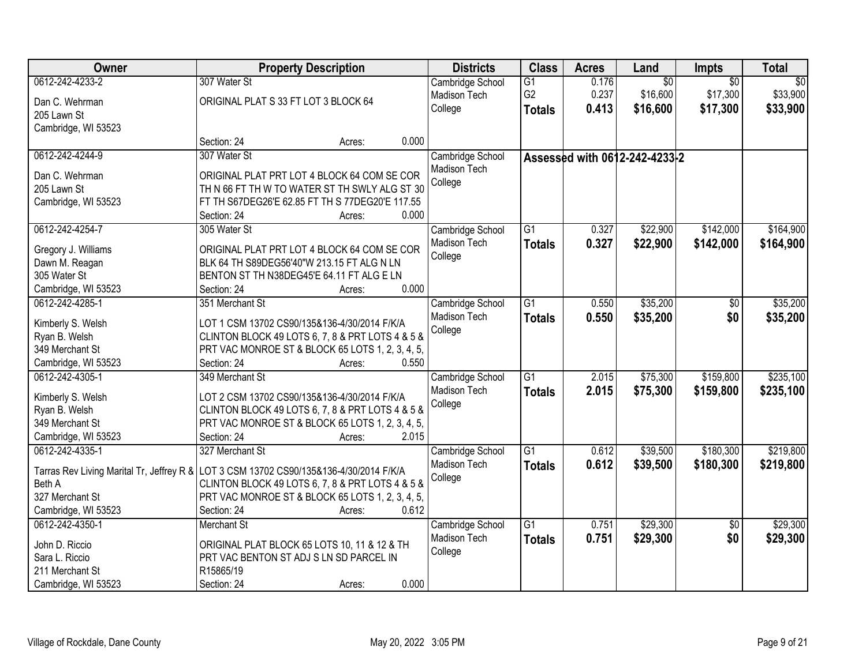| Owner                                     | <b>Property Description</b>                      | <b>Districts</b> | <b>Class</b>    | <b>Acres</b> | Land                          | <b>Impts</b>    | <b>Total</b>    |
|-------------------------------------------|--------------------------------------------------|------------------|-----------------|--------------|-------------------------------|-----------------|-----------------|
| 0612-242-4233-2                           | 307 Water St                                     | Cambridge School | $\overline{G1}$ | 0.176        | $\overline{60}$               | $\overline{30}$ | $\overline{50}$ |
| Dan C. Wehrman                            | ORIGINAL PLAT S 33 FT LOT 3 BLOCK 64             | Madison Tech     | G <sub>2</sub>  | 0.237        | \$16,600                      | \$17,300        | \$33,900        |
| 205 Lawn St                               |                                                  | College          | <b>Totals</b>   | 0.413        | \$16,600                      | \$17,300        | \$33,900        |
| Cambridge, WI 53523                       |                                                  |                  |                 |              |                               |                 |                 |
|                                           | 0.000<br>Section: 24<br>Acres:                   |                  |                 |              |                               |                 |                 |
| 0612-242-4244-9                           | 307 Water St                                     | Cambridge School |                 |              | Assessed with 0612-242-4233-2 |                 |                 |
| Dan C. Wehrman                            | ORIGINAL PLAT PRT LOT 4 BLOCK 64 COM SE COR      | Madison Tech     |                 |              |                               |                 |                 |
| 205 Lawn St                               | TH N 66 FT TH W TO WATER ST TH SWLY ALG ST 30    | College          |                 |              |                               |                 |                 |
| Cambridge, WI 53523                       | FT TH S67DEG26'E 62.85 FT TH S 77DEG20'E 117.55  |                  |                 |              |                               |                 |                 |
|                                           | 0.000<br>Section: 24<br>Acres:                   |                  |                 |              |                               |                 |                 |
| 0612-242-4254-7                           | 305 Water St                                     | Cambridge School | $\overline{G1}$ | 0.327        | \$22,900                      | \$142,000       | \$164,900       |
| Gregory J. Williams                       | ORIGINAL PLAT PRT LOT 4 BLOCK 64 COM SE COR      | Madison Tech     | <b>Totals</b>   | 0.327        | \$22,900                      | \$142,000       | \$164,900       |
| Dawn M. Reagan                            | BLK 64 TH S89DEG56'40"W 213.15 FT ALG N LN       | College          |                 |              |                               |                 |                 |
| 305 Water St                              | BENTON ST TH N38DEG45'E 64.11 FT ALG E LN        |                  |                 |              |                               |                 |                 |
| Cambridge, WI 53523                       | 0.000<br>Section: 24<br>Acres:                   |                  |                 |              |                               |                 |                 |
| 0612-242-4285-1                           | 351 Merchant St                                  | Cambridge School | $\overline{G1}$ | 0.550        | \$35,200                      | \$0             | \$35,200        |
|                                           |                                                  | Madison Tech     | <b>Totals</b>   | 0.550        | \$35,200                      | \$0             | \$35,200        |
| Kimberly S. Welsh                         | LOT 1 CSM 13702 CS90/135&136-4/30/2014 F/K/A     | College          |                 |              |                               |                 |                 |
| Ryan B. Welsh                             | CLINTON BLOCK 49 LOTS 6, 7, 8 & PRT LOTS 4 & 5 & |                  |                 |              |                               |                 |                 |
| 349 Merchant St                           | PRT VAC MONROE ST & BLOCK 65 LOTS 1, 2, 3, 4, 5, |                  |                 |              |                               |                 |                 |
| Cambridge, WI 53523                       | Section: 24<br>0.550<br>Acres:                   |                  |                 |              |                               |                 |                 |
| 0612-242-4305-1                           | 349 Merchant St                                  | Cambridge School | $\overline{G1}$ | 2.015        | \$75,300                      | \$159,800       | \$235,100       |
| Kimberly S. Welsh                         | LOT 2 CSM 13702 CS90/135&136-4/30/2014 F/K/A     | Madison Tech     | <b>Totals</b>   | 2.015        | \$75,300                      | \$159,800       | \$235,100       |
| Ryan B. Welsh                             | CLINTON BLOCK 49 LOTS 6, 7, 8 & PRT LOTS 4 & 5 & | College          |                 |              |                               |                 |                 |
| 349 Merchant St                           | PRT VAC MONROE ST & BLOCK 65 LOTS 1, 2, 3, 4, 5, |                  |                 |              |                               |                 |                 |
| Cambridge, WI 53523                       | Section: 24<br>2.015<br>Acres:                   |                  |                 |              |                               |                 |                 |
| 0612-242-4335-1                           | 327 Merchant St                                  | Cambridge School | $\overline{G1}$ | 0.612        | \$39,500                      | \$180,300       | \$219,800       |
| Tarras Rev Living Marital Tr, Jeffrey R & | LOT 3 CSM 13702 CS90/135&136-4/30/2014 F/K/A     | Madison Tech     | <b>Totals</b>   | 0.612        | \$39,500                      | \$180,300       | \$219,800       |
| Beth A                                    | CLINTON BLOCK 49 LOTS 6, 7, 8 & PRT LOTS 4 & 5 & | College          |                 |              |                               |                 |                 |
| 327 Merchant St                           | PRT VAC MONROE ST & BLOCK 65 LOTS 1, 2, 3, 4, 5, |                  |                 |              |                               |                 |                 |
| Cambridge, WI 53523                       | 0.612<br>Section: 24<br>Acres:                   |                  |                 |              |                               |                 |                 |
| 0612-242-4350-1                           | <b>Merchant St</b>                               | Cambridge School | $\overline{G1}$ | 0.751        | \$29,300                      | $\overline{50}$ | \$29,300        |
|                                           |                                                  | Madison Tech     | <b>Totals</b>   | 0.751        | \$29,300                      | \$0             | \$29,300        |
| John D. Riccio                            | ORIGINAL PLAT BLOCK 65 LOTS 10, 11 & 12 & TH     | College          |                 |              |                               |                 |                 |
| Sara L. Riccio                            | PRT VAC BENTON ST ADJ S LN SD PARCEL IN          |                  |                 |              |                               |                 |                 |
| 211 Merchant St                           | R15865/19                                        |                  |                 |              |                               |                 |                 |
| Cambridge, WI 53523                       | 0.000<br>Section: 24<br>Acres:                   |                  |                 |              |                               |                 |                 |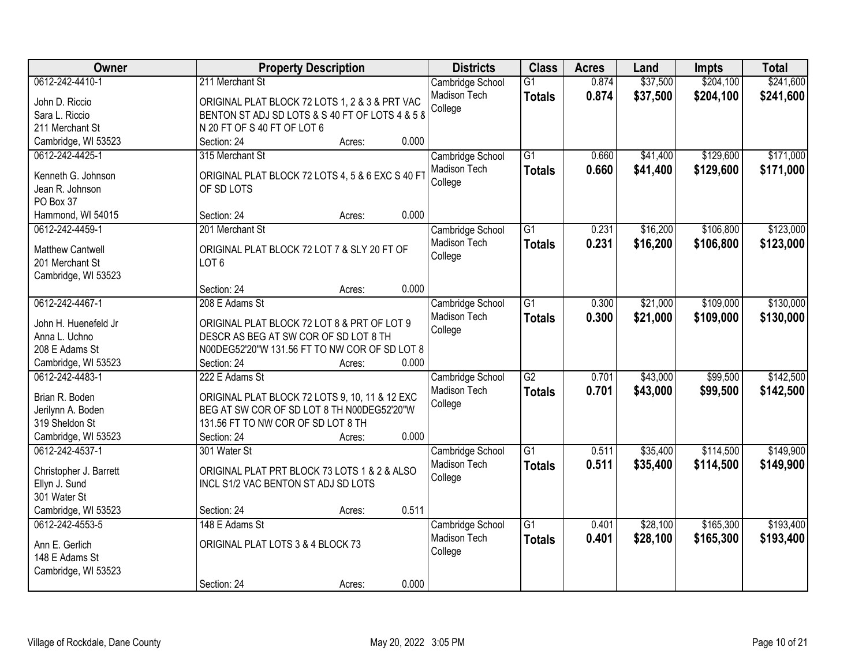| \$204,100<br>0612-242-4410-1<br>211 Merchant St<br>$\overline{G1}$<br>\$37,500<br>\$241,600<br>Cambridge School<br>0.874<br><b>Madison Tech</b><br>0.874<br>\$37,500<br>\$204,100<br>\$241,600<br><b>Totals</b><br>ORIGINAL PLAT BLOCK 72 LOTS 1, 2 & 3 & PRT VAC<br>John D. Riccio<br>College<br>BENTON ST ADJ SD LOTS & S 40 FT OF LOTS 4 & 5 8<br>Sara L. Riccio<br>N 20 FT OF S 40 FT OF LOT 6<br>211 Merchant St<br>0.000<br>Cambridge, WI 53523<br>Section: 24<br>Acres:<br>$\overline{G1}$<br>\$129,600<br>\$171,000<br>0612-242-4425-1<br>315 Merchant St<br>Cambridge School<br>\$41,400<br>0.660<br>Madison Tech<br>0.660<br>\$41,400<br>\$129,600<br>\$171,000<br><b>Totals</b><br>ORIGINAL PLAT BLOCK 72 LOTS 4, 5 & 6 EXC S 40 FT<br>Kenneth G. Johnson<br>College<br>Jean R. Johnson<br>OF SD LOTS<br>PO Box 37<br>0.000<br>Hammond, WI 54015<br>Section: 24<br>Acres:<br>\$123,000<br>0612-242-4459-1<br>$\overline{G1}$<br>\$16,200<br>\$106,800<br>201 Merchant St<br>Cambridge School<br>0.231<br>Madison Tech<br>0.231<br>\$16,200<br>\$106,800<br>\$123,000<br><b>Totals</b><br><b>Matthew Cantwell</b><br>ORIGINAL PLAT BLOCK 72 LOT 7 & SLY 20 FT OF<br>College<br>LOT <sub>6</sub><br>201 Merchant St<br>Cambridge, WI 53523<br>0.000<br>Section: 24<br>Acres:<br>0612-242-4467-1<br>\$109,000<br>\$130,000<br>208 E Adams St<br>$\overline{G1}$<br>0.300<br>\$21,000<br>Cambridge School<br><b>Madison Tech</b><br>0.300<br>\$21,000<br>\$109,000<br>\$130,000<br><b>Totals</b><br>John H. Huenefeld Jr<br>ORIGINAL PLAT BLOCK 72 LOT 8 & PRT OF LOT 9<br>College<br>DESCR AS BEG AT SW COR OF SD LOT 8 TH<br>Anna L. Uchno<br>N00DEG52'20"W 131.56 FT TO NW COR OF SD LOT 8<br>208 E Adams St<br>0.000<br>Cambridge, WI 53523<br>Section: 24<br>Acres:<br>$\overline{G2}$<br>\$99,500<br>\$142,500<br>0612-242-4483-1<br>222 E Adams St<br>0.701<br>\$43,000<br>Cambridge School<br>Madison Tech<br>\$43,000<br>\$99,500<br>\$142,500<br>0.701<br><b>Totals</b><br>Brian R. Boden<br>ORIGINAL PLAT BLOCK 72 LOTS 9, 10, 11 & 12 EXC |
|--------------------------------------------------------------------------------------------------------------------------------------------------------------------------------------------------------------------------------------------------------------------------------------------------------------------------------------------------------------------------------------------------------------------------------------------------------------------------------------------------------------------------------------------------------------------------------------------------------------------------------------------------------------------------------------------------------------------------------------------------------------------------------------------------------------------------------------------------------------------------------------------------------------------------------------------------------------------------------------------------------------------------------------------------------------------------------------------------------------------------------------------------------------------------------------------------------------------------------------------------------------------------------------------------------------------------------------------------------------------------------------------------------------------------------------------------------------------------------------------------------------------------------------------------------------------------------------------------------------------------------------------------------------------------------------------------------------------------------------------------------------------------------------------------------------------------------------------------------------------------------------------------------------------------------------------------------------------------------------------------------------------------------------------------------------|
|                                                                                                                                                                                                                                                                                                                                                                                                                                                                                                                                                                                                                                                                                                                                                                                                                                                                                                                                                                                                                                                                                                                                                                                                                                                                                                                                                                                                                                                                                                                                                                                                                                                                                                                                                                                                                                                                                                                                                                                                                                                              |
|                                                                                                                                                                                                                                                                                                                                                                                                                                                                                                                                                                                                                                                                                                                                                                                                                                                                                                                                                                                                                                                                                                                                                                                                                                                                                                                                                                                                                                                                                                                                                                                                                                                                                                                                                                                                                                                                                                                                                                                                                                                              |
|                                                                                                                                                                                                                                                                                                                                                                                                                                                                                                                                                                                                                                                                                                                                                                                                                                                                                                                                                                                                                                                                                                                                                                                                                                                                                                                                                                                                                                                                                                                                                                                                                                                                                                                                                                                                                                                                                                                                                                                                                                                              |
|                                                                                                                                                                                                                                                                                                                                                                                                                                                                                                                                                                                                                                                                                                                                                                                                                                                                                                                                                                                                                                                                                                                                                                                                                                                                                                                                                                                                                                                                                                                                                                                                                                                                                                                                                                                                                                                                                                                                                                                                                                                              |
|                                                                                                                                                                                                                                                                                                                                                                                                                                                                                                                                                                                                                                                                                                                                                                                                                                                                                                                                                                                                                                                                                                                                                                                                                                                                                                                                                                                                                                                                                                                                                                                                                                                                                                                                                                                                                                                                                                                                                                                                                                                              |
|                                                                                                                                                                                                                                                                                                                                                                                                                                                                                                                                                                                                                                                                                                                                                                                                                                                                                                                                                                                                                                                                                                                                                                                                                                                                                                                                                                                                                                                                                                                                                                                                                                                                                                                                                                                                                                                                                                                                                                                                                                                              |
|                                                                                                                                                                                                                                                                                                                                                                                                                                                                                                                                                                                                                                                                                                                                                                                                                                                                                                                                                                                                                                                                                                                                                                                                                                                                                                                                                                                                                                                                                                                                                                                                                                                                                                                                                                                                                                                                                                                                                                                                                                                              |
|                                                                                                                                                                                                                                                                                                                                                                                                                                                                                                                                                                                                                                                                                                                                                                                                                                                                                                                                                                                                                                                                                                                                                                                                                                                                                                                                                                                                                                                                                                                                                                                                                                                                                                                                                                                                                                                                                                                                                                                                                                                              |
|                                                                                                                                                                                                                                                                                                                                                                                                                                                                                                                                                                                                                                                                                                                                                                                                                                                                                                                                                                                                                                                                                                                                                                                                                                                                                                                                                                                                                                                                                                                                                                                                                                                                                                                                                                                                                                                                                                                                                                                                                                                              |
|                                                                                                                                                                                                                                                                                                                                                                                                                                                                                                                                                                                                                                                                                                                                                                                                                                                                                                                                                                                                                                                                                                                                                                                                                                                                                                                                                                                                                                                                                                                                                                                                                                                                                                                                                                                                                                                                                                                                                                                                                                                              |
|                                                                                                                                                                                                                                                                                                                                                                                                                                                                                                                                                                                                                                                                                                                                                                                                                                                                                                                                                                                                                                                                                                                                                                                                                                                                                                                                                                                                                                                                                                                                                                                                                                                                                                                                                                                                                                                                                                                                                                                                                                                              |
|                                                                                                                                                                                                                                                                                                                                                                                                                                                                                                                                                                                                                                                                                                                                                                                                                                                                                                                                                                                                                                                                                                                                                                                                                                                                                                                                                                                                                                                                                                                                                                                                                                                                                                                                                                                                                                                                                                                                                                                                                                                              |
|                                                                                                                                                                                                                                                                                                                                                                                                                                                                                                                                                                                                                                                                                                                                                                                                                                                                                                                                                                                                                                                                                                                                                                                                                                                                                                                                                                                                                                                                                                                                                                                                                                                                                                                                                                                                                                                                                                                                                                                                                                                              |
|                                                                                                                                                                                                                                                                                                                                                                                                                                                                                                                                                                                                                                                                                                                                                                                                                                                                                                                                                                                                                                                                                                                                                                                                                                                                                                                                                                                                                                                                                                                                                                                                                                                                                                                                                                                                                                                                                                                                                                                                                                                              |
|                                                                                                                                                                                                                                                                                                                                                                                                                                                                                                                                                                                                                                                                                                                                                                                                                                                                                                                                                                                                                                                                                                                                                                                                                                                                                                                                                                                                                                                                                                                                                                                                                                                                                                                                                                                                                                                                                                                                                                                                                                                              |
|                                                                                                                                                                                                                                                                                                                                                                                                                                                                                                                                                                                                                                                                                                                                                                                                                                                                                                                                                                                                                                                                                                                                                                                                                                                                                                                                                                                                                                                                                                                                                                                                                                                                                                                                                                                                                                                                                                                                                                                                                                                              |
|                                                                                                                                                                                                                                                                                                                                                                                                                                                                                                                                                                                                                                                                                                                                                                                                                                                                                                                                                                                                                                                                                                                                                                                                                                                                                                                                                                                                                                                                                                                                                                                                                                                                                                                                                                                                                                                                                                                                                                                                                                                              |
|                                                                                                                                                                                                                                                                                                                                                                                                                                                                                                                                                                                                                                                                                                                                                                                                                                                                                                                                                                                                                                                                                                                                                                                                                                                                                                                                                                                                                                                                                                                                                                                                                                                                                                                                                                                                                                                                                                                                                                                                                                                              |
|                                                                                                                                                                                                                                                                                                                                                                                                                                                                                                                                                                                                                                                                                                                                                                                                                                                                                                                                                                                                                                                                                                                                                                                                                                                                                                                                                                                                                                                                                                                                                                                                                                                                                                                                                                                                                                                                                                                                                                                                                                                              |
|                                                                                                                                                                                                                                                                                                                                                                                                                                                                                                                                                                                                                                                                                                                                                                                                                                                                                                                                                                                                                                                                                                                                                                                                                                                                                                                                                                                                                                                                                                                                                                                                                                                                                                                                                                                                                                                                                                                                                                                                                                                              |
|                                                                                                                                                                                                                                                                                                                                                                                                                                                                                                                                                                                                                                                                                                                                                                                                                                                                                                                                                                                                                                                                                                                                                                                                                                                                                                                                                                                                                                                                                                                                                                                                                                                                                                                                                                                                                                                                                                                                                                                                                                                              |
|                                                                                                                                                                                                                                                                                                                                                                                                                                                                                                                                                                                                                                                                                                                                                                                                                                                                                                                                                                                                                                                                                                                                                                                                                                                                                                                                                                                                                                                                                                                                                                                                                                                                                                                                                                                                                                                                                                                                                                                                                                                              |
|                                                                                                                                                                                                                                                                                                                                                                                                                                                                                                                                                                                                                                                                                                                                                                                                                                                                                                                                                                                                                                                                                                                                                                                                                                                                                                                                                                                                                                                                                                                                                                                                                                                                                                                                                                                                                                                                                                                                                                                                                                                              |
|                                                                                                                                                                                                                                                                                                                                                                                                                                                                                                                                                                                                                                                                                                                                                                                                                                                                                                                                                                                                                                                                                                                                                                                                                                                                                                                                                                                                                                                                                                                                                                                                                                                                                                                                                                                                                                                                                                                                                                                                                                                              |
| College<br>BEG AT SW COR OF SD LOT 8 TH N00DEG52'20"W<br>Jerilynn A. Boden                                                                                                                                                                                                                                                                                                                                                                                                                                                                                                                                                                                                                                                                                                                                                                                                                                                                                                                                                                                                                                                                                                                                                                                                                                                                                                                                                                                                                                                                                                                                                                                                                                                                                                                                                                                                                                                                                                                                                                                   |
| 131.56 FT TO NW COR OF SD LOT 8 TH<br>319 Sheldon St                                                                                                                                                                                                                                                                                                                                                                                                                                                                                                                                                                                                                                                                                                                                                                                                                                                                                                                                                                                                                                                                                                                                                                                                                                                                                                                                                                                                                                                                                                                                                                                                                                                                                                                                                                                                                                                                                                                                                                                                         |
| 0.000<br>Cambridge, WI 53523<br>Section: 24<br>Acres:                                                                                                                                                                                                                                                                                                                                                                                                                                                                                                                                                                                                                                                                                                                                                                                                                                                                                                                                                                                                                                                                                                                                                                                                                                                                                                                                                                                                                                                                                                                                                                                                                                                                                                                                                                                                                                                                                                                                                                                                        |
| 0612-242-4537-1<br>\$114,500<br>\$149,900<br>$\overline{G1}$<br>\$35,400<br>301 Water St<br>Cambridge School<br>0.511                                                                                                                                                                                                                                                                                                                                                                                                                                                                                                                                                                                                                                                                                                                                                                                                                                                                                                                                                                                                                                                                                                                                                                                                                                                                                                                                                                                                                                                                                                                                                                                                                                                                                                                                                                                                                                                                                                                                        |
| Madison Tech<br>0.511<br>\$35,400<br>\$114,500                                                                                                                                                                                                                                                                                                                                                                                                                                                                                                                                                                                                                                                                                                                                                                                                                                                                                                                                                                                                                                                                                                                                                                                                                                                                                                                                                                                                                                                                                                                                                                                                                                                                                                                                                                                                                                                                                                                                                                                                               |
| \$149,900<br><b>Totals</b><br>ORIGINAL PLAT PRT BLOCK 73 LOTS 1 & 2 & ALSO<br>Christopher J. Barrett<br>College                                                                                                                                                                                                                                                                                                                                                                                                                                                                                                                                                                                                                                                                                                                                                                                                                                                                                                                                                                                                                                                                                                                                                                                                                                                                                                                                                                                                                                                                                                                                                                                                                                                                                                                                                                                                                                                                                                                                              |
| Ellyn J. Sund<br>INCL S1/2 VAC BENTON ST ADJ SD LOTS                                                                                                                                                                                                                                                                                                                                                                                                                                                                                                                                                                                                                                                                                                                                                                                                                                                                                                                                                                                                                                                                                                                                                                                                                                                                                                                                                                                                                                                                                                                                                                                                                                                                                                                                                                                                                                                                                                                                                                                                         |
| 301 Water St                                                                                                                                                                                                                                                                                                                                                                                                                                                                                                                                                                                                                                                                                                                                                                                                                                                                                                                                                                                                                                                                                                                                                                                                                                                                                                                                                                                                                                                                                                                                                                                                                                                                                                                                                                                                                                                                                                                                                                                                                                                 |
| 0.511<br>Cambridge, WI 53523<br>Section: 24<br>Acres:                                                                                                                                                                                                                                                                                                                                                                                                                                                                                                                                                                                                                                                                                                                                                                                                                                                                                                                                                                                                                                                                                                                                                                                                                                                                                                                                                                                                                                                                                                                                                                                                                                                                                                                                                                                                                                                                                                                                                                                                        |
| $\overline{G1}$<br>\$28,100<br>\$165,300<br>\$193,400<br>0612-242-4553-5<br>148 E Adams St<br>Cambridge School<br>0.401                                                                                                                                                                                                                                                                                                                                                                                                                                                                                                                                                                                                                                                                                                                                                                                                                                                                                                                                                                                                                                                                                                                                                                                                                                                                                                                                                                                                                                                                                                                                                                                                                                                                                                                                                                                                                                                                                                                                      |
| <b>Madison Tech</b><br>0.401<br>\$28,100<br>\$165,300<br>\$193,400<br><b>Totals</b><br>Ann E. Gerlich<br>ORIGINAL PLAT LOTS 3 & 4 BLOCK 73                                                                                                                                                                                                                                                                                                                                                                                                                                                                                                                                                                                                                                                                                                                                                                                                                                                                                                                                                                                                                                                                                                                                                                                                                                                                                                                                                                                                                                                                                                                                                                                                                                                                                                                                                                                                                                                                                                                   |
| College<br>148 E Adams St                                                                                                                                                                                                                                                                                                                                                                                                                                                                                                                                                                                                                                                                                                                                                                                                                                                                                                                                                                                                                                                                                                                                                                                                                                                                                                                                                                                                                                                                                                                                                                                                                                                                                                                                                                                                                                                                                                                                                                                                                                    |
| Cambridge, WI 53523                                                                                                                                                                                                                                                                                                                                                                                                                                                                                                                                                                                                                                                                                                                                                                                                                                                                                                                                                                                                                                                                                                                                                                                                                                                                                                                                                                                                                                                                                                                                                                                                                                                                                                                                                                                                                                                                                                                                                                                                                                          |
| 0.000<br>Section: 24<br>Acres:                                                                                                                                                                                                                                                                                                                                                                                                                                                                                                                                                                                                                                                                                                                                                                                                                                                                                                                                                                                                                                                                                                                                                                                                                                                                                                                                                                                                                                                                                                                                                                                                                                                                                                                                                                                                                                                                                                                                                                                                                               |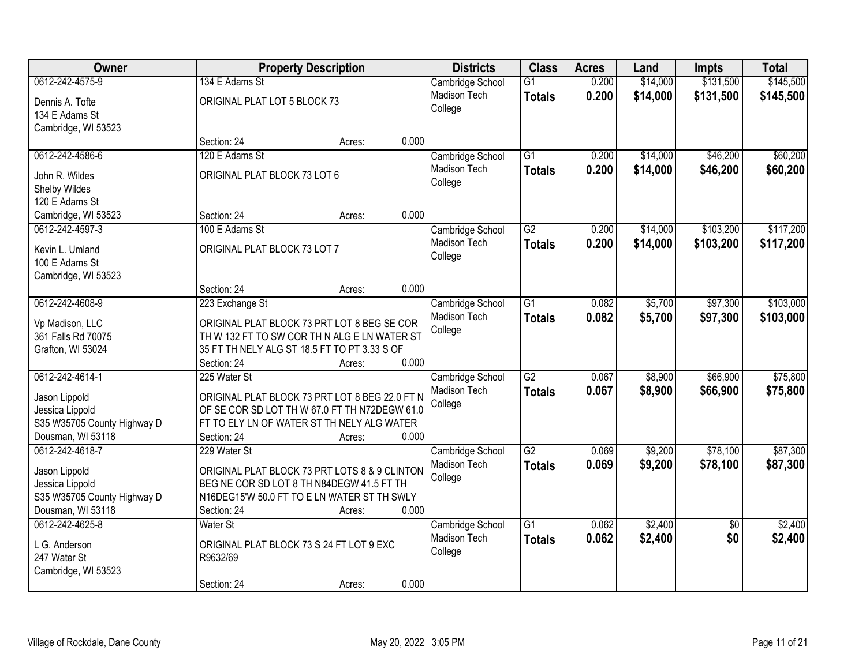| Owner                            |                                                      | <b>Property Description</b> |       | <b>Districts</b>    | <b>Class</b>    | <b>Acres</b> | Land     | Impts           | <b>Total</b> |
|----------------------------------|------------------------------------------------------|-----------------------------|-------|---------------------|-----------------|--------------|----------|-----------------|--------------|
| 0612-242-4575-9                  | 134 E Adams St                                       |                             |       | Cambridge School    | $\overline{G1}$ | 0.200        | \$14,000 | \$131,500       | \$145,500    |
| Dennis A. Tofte                  | ORIGINAL PLAT LOT 5 BLOCK 73                         |                             |       | Madison Tech        | <b>Totals</b>   | 0.200        | \$14,000 | \$131,500       | \$145,500    |
| 134 E Adams St                   |                                                      |                             |       | College             |                 |              |          |                 |              |
| Cambridge, WI 53523              |                                                      |                             |       |                     |                 |              |          |                 |              |
|                                  | Section: 24                                          | Acres:                      | 0.000 |                     |                 |              |          |                 |              |
| 0612-242-4586-6                  | 120 E Adams St                                       |                             |       | Cambridge School    | $\overline{G1}$ | 0.200        | \$14,000 | \$46,200        | \$60,200     |
| John R. Wildes                   | ORIGINAL PLAT BLOCK 73 LOT 6                         |                             |       | <b>Madison Tech</b> | <b>Totals</b>   | 0.200        | \$14,000 | \$46,200        | \$60,200     |
| Shelby Wildes                    |                                                      |                             |       | College             |                 |              |          |                 |              |
| 120 E Adams St                   |                                                      |                             |       |                     |                 |              |          |                 |              |
| Cambridge, WI 53523              | Section: 24                                          | Acres:                      | 0.000 |                     |                 |              |          |                 |              |
| 0612-242-4597-3                  | 100 E Adams St                                       |                             |       | Cambridge School    | G2              | 0.200        | \$14,000 | \$103,200       | \$117,200    |
| Kevin L. Umland                  | ORIGINAL PLAT BLOCK 73 LOT 7                         |                             |       | Madison Tech        | <b>Totals</b>   | 0.200        | \$14,000 | \$103,200       | \$117,200    |
| 100 E Adams St                   |                                                      |                             |       | College             |                 |              |          |                 |              |
| Cambridge, WI 53523              |                                                      |                             |       |                     |                 |              |          |                 |              |
|                                  | Section: 24                                          | Acres:                      | 0.000 |                     |                 |              |          |                 |              |
| 0612-242-4608-9                  | 223 Exchange St                                      |                             |       | Cambridge School    | $\overline{G1}$ | 0.082        | \$5,700  | \$97,300        | \$103,000    |
| Vp Madison, LLC                  | ORIGINAL PLAT BLOCK 73 PRT LOT 8 BEG SE COR          |                             |       | <b>Madison Tech</b> | <b>Totals</b>   | 0.082        | \$5,700  | \$97,300        | \$103,000    |
| 361 Falls Rd 70075               | TH W 132 FT TO SW COR TH N ALG E LN WATER ST         |                             |       | College             |                 |              |          |                 |              |
| Grafton, WI 53024                | 35 FT TH NELY ALG ST 18.5 FT TO PT 3.33 S OF         |                             |       |                     |                 |              |          |                 |              |
|                                  | Section: 24                                          | Acres:                      | 0.000 |                     |                 |              |          |                 |              |
| 0612-242-4614-1                  | 225 Water St                                         |                             |       | Cambridge School    | $\overline{G2}$ | 0.067        | \$8,900  | \$66,900        | \$75,800     |
| Jason Lippold                    | ORIGINAL PLAT BLOCK 73 PRT LOT 8 BEG 22.0 FT N       |                             |       | Madison Tech        | <b>Totals</b>   | 0.067        | \$8,900  | \$66,900        | \$75,800     |
| Jessica Lippold                  | OF SE COR SD LOT TH W 67.0 FT TH N72DEGW 61.0        |                             |       | College             |                 |              |          |                 |              |
| S35 W35705 County Highway D      | FT TO ELY LN OF WATER ST TH NELY ALG WATER           |                             |       |                     |                 |              |          |                 |              |
| Dousman, WI 53118                | Section: 24                                          | Acres:                      | 0.000 |                     |                 |              |          |                 |              |
| 0612-242-4618-7                  | 229 Water St                                         |                             |       | Cambridge School    | $\overline{G2}$ | 0.069        | \$9,200  | \$78,100        | \$87,300     |
|                                  | ORIGINAL PLAT BLOCK 73 PRT LOTS 8 & 9 CLINTON        |                             |       | Madison Tech        | <b>Totals</b>   | 0.069        | \$9,200  | \$78,100        | \$87,300     |
| Jason Lippold<br>Jessica Lippold | BEG NE COR SD LOT 8 TH N84DEGW 41.5 FT TH            |                             |       | College             |                 |              |          |                 |              |
| S35 W35705 County Highway D      | N16DEG15'W 50.0 FT TO E LN WATER ST TH SWLY          |                             |       |                     |                 |              |          |                 |              |
| Dousman, WI 53118                | Section: 24                                          | Acres:                      | 0.000 |                     |                 |              |          |                 |              |
| 0612-242-4625-8                  | Water St                                             |                             |       | Cambridge School    | $\overline{G1}$ | 0.062        | \$2,400  | $\overline{50}$ | \$2,400      |
|                                  |                                                      |                             |       | Madison Tech        | <b>Totals</b>   | 0.062        | \$2,400  | \$0             | \$2,400      |
| L G. Anderson<br>247 Water St    | ORIGINAL PLAT BLOCK 73 S 24 FT LOT 9 EXC<br>R9632/69 |                             |       | College             |                 |              |          |                 |              |
| Cambridge, WI 53523              |                                                      |                             |       |                     |                 |              |          |                 |              |
|                                  | Section: 24                                          | Acres:                      | 0.000 |                     |                 |              |          |                 |              |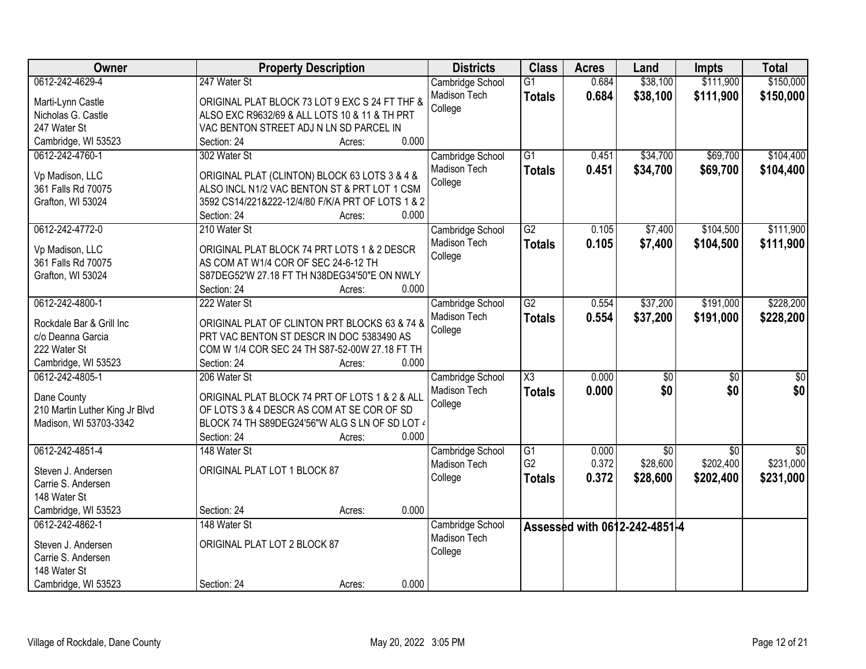| Owner                                    | <b>Property Description</b>                                | <b>Districts</b> | <b>Class</b>        | <b>Acres</b> | Land                          | <b>Impts</b>    | <b>Total</b>    |
|------------------------------------------|------------------------------------------------------------|------------------|---------------------|--------------|-------------------------------|-----------------|-----------------|
| 0612-242-4629-4                          | 247 Water St                                               | Cambridge School | $\overline{G1}$     | 0.684        | \$38,100                      | \$111,900       | \$150,000       |
| Marti-Lynn Castle                        | ORIGINAL PLAT BLOCK 73 LOT 9 EXC S 24 FT THF &             | Madison Tech     | <b>Totals</b>       | 0.684        | \$38,100                      | \$111,900       | \$150,000       |
| Nicholas G. Castle                       | ALSO EXC R9632/69 & ALL LOTS 10 & 11 & TH PRT              | College          |                     |              |                               |                 |                 |
| 247 Water St                             | VAC BENTON STREET ADJ N LN SD PARCEL IN                    |                  |                     |              |                               |                 |                 |
| Cambridge, WI 53523                      | 0.000<br>Section: 24<br>Acres:                             |                  |                     |              |                               |                 |                 |
| 0612-242-4760-1                          | 302 Water St                                               | Cambridge School | $\overline{G1}$     | 0.451        | \$34,700                      | \$69,700        | \$104,400       |
|                                          |                                                            | Madison Tech     | <b>Totals</b>       | 0.451        | \$34,700                      | \$69,700        | \$104,400       |
| Vp Madison, LLC                          | ORIGINAL PLAT (CLINTON) BLOCK 63 LOTS 3 & 4 &              | College          |                     |              |                               |                 |                 |
| 361 Falls Rd 70075                       | ALSO INCL N1/2 VAC BENTON ST & PRT LOT 1 CSM               |                  |                     |              |                               |                 |                 |
| Grafton, WI 53024                        | 3592 CS14/221&222-12/4/80 F/K/A PRT OF LOTS 1 & 2<br>0.000 |                  |                     |              |                               |                 |                 |
|                                          | Section: 24<br>Acres:                                      |                  |                     |              |                               |                 |                 |
| 0612-242-4772-0                          | 210 Water St                                               | Cambridge School | G2                  | 0.105        | \$7,400                       | \$104,500       | \$111,900       |
| Vp Madison, LLC                          | ORIGINAL PLAT BLOCK 74 PRT LOTS 1 & 2 DESCR                | Madison Tech     | <b>Totals</b>       | 0.105        | \$7,400                       | \$104,500       | \$111,900       |
| 361 Falls Rd 70075                       | AS COM AT W1/4 COR OF SEC 24-6-12 TH                       | College          |                     |              |                               |                 |                 |
| Grafton, WI 53024                        | S87DEG52'W 27.18 FT TH N38DEG34'50"E ON NWLY               |                  |                     |              |                               |                 |                 |
|                                          | 0.000<br>Section: 24<br>Acres:                             |                  |                     |              |                               |                 |                 |
| 0612-242-4800-1                          | 222 Water St                                               | Cambridge School | $\overline{G2}$     | 0.554        | \$37,200                      | \$191,000       | \$228,200       |
| Rockdale Bar & Grill Inc                 | ORIGINAL PLAT OF CLINTON PRT BLOCKS 63 & 74 &              | Madison Tech     | <b>Totals</b>       | 0.554        | \$37,200                      | \$191,000       | \$228,200       |
| c/o Deanna Garcia                        | PRT VAC BENTON ST DESCR IN DOC 5383490 AS                  | College          |                     |              |                               |                 |                 |
| 222 Water St                             | COM W 1/4 COR SEC 24 TH S87-52-00W 27.18 FT TH             |                  |                     |              |                               |                 |                 |
| Cambridge, WI 53523                      | 0.000<br>Section: 24<br>Acres:                             |                  |                     |              |                               |                 |                 |
| 0612-242-4805-1                          | 206 Water St                                               | Cambridge School | $\overline{\chi_3}$ | 0.000        | $\overline{50}$               | $\overline{50}$ | $\overline{50}$ |
|                                          |                                                            | Madison Tech     | <b>Totals</b>       | 0.000        | \$0                           | \$0             | \$0             |
| Dane County                              | ORIGINAL PLAT BLOCK 74 PRT OF LOTS 1 & 2 & ALL             | College          |                     |              |                               |                 |                 |
| 210 Martin Luther King Jr Blvd           | OF LOTS 3 & 4 DESCR AS COM AT SE COR OF SD                 |                  |                     |              |                               |                 |                 |
| Madison, WI 53703-3342                   | BLOCK 74 TH S89DEG24'56"W ALG S LN OF SD LOT 4             |                  |                     |              |                               |                 |                 |
|                                          | Section: 24<br>0.000<br>Acres:                             |                  |                     |              |                               |                 |                 |
| 0612-242-4851-4                          | 148 Water St                                               | Cambridge School | $\overline{G1}$     | 0.000        | $\overline{50}$               | $\overline{50}$ | $\overline{50}$ |
| Steven J. Andersen                       | ORIGINAL PLAT LOT 1 BLOCK 87                               | Madison Tech     | G <sub>2</sub>      | 0.372        | \$28,600                      | \$202,400       | \$231,000       |
| Carrie S. Andersen                       |                                                            | College          | <b>Totals</b>       | 0.372        | \$28,600                      | \$202,400       | \$231,000       |
| 148 Water St                             |                                                            |                  |                     |              |                               |                 |                 |
| Cambridge, WI 53523                      | 0.000<br>Section: 24<br>Acres:                             |                  |                     |              |                               |                 |                 |
| 0612-242-4862-1                          | 148 Water St                                               | Cambridge School |                     |              | Assessed with 0612-242-4851-4 |                 |                 |
|                                          | ORIGINAL PLAT LOT 2 BLOCK 87                               | Madison Tech     |                     |              |                               |                 |                 |
| Steven J. Andersen<br>Carrie S. Andersen |                                                            | College          |                     |              |                               |                 |                 |
| 148 Water St                             |                                                            |                  |                     |              |                               |                 |                 |
|                                          | 0.000                                                      |                  |                     |              |                               |                 |                 |
| Cambridge, WI 53523                      | Section: 24<br>Acres:                                      |                  |                     |              |                               |                 |                 |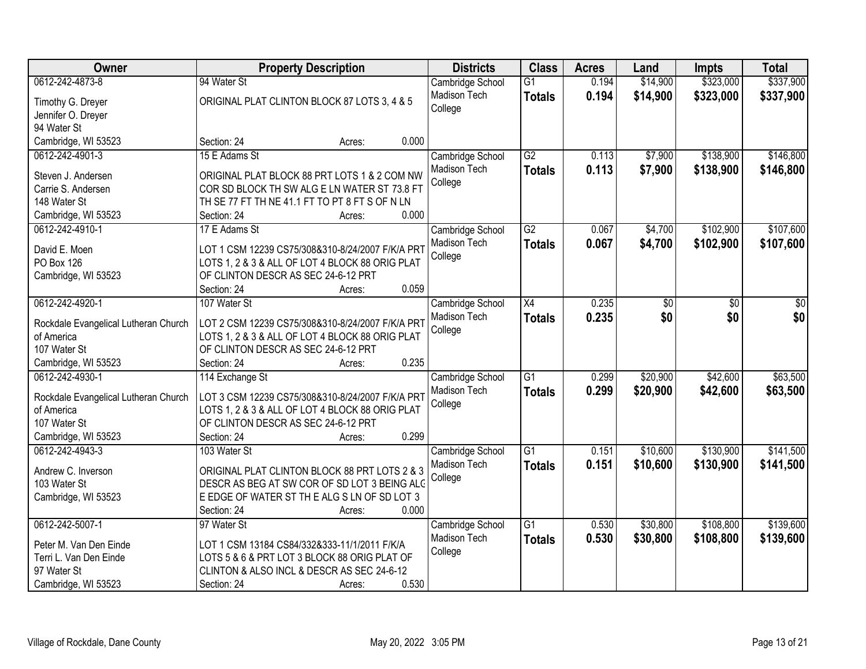| <b>Owner</b>                         | <b>Property Description</b>                      | <b>Districts</b> | <b>Class</b>    | <b>Acres</b> | Land     | <b>Impts</b> | <b>Total</b> |
|--------------------------------------|--------------------------------------------------|------------------|-----------------|--------------|----------|--------------|--------------|
| 0612-242-4873-8                      | 94 Water St                                      | Cambridge School | $\overline{G1}$ | 0.194        | \$14,900 | \$323,000    | \$337,900    |
| Timothy G. Dreyer                    | ORIGINAL PLAT CLINTON BLOCK 87 LOTS 3, 4 & 5     | Madison Tech     | <b>Totals</b>   | 0.194        | \$14,900 | \$323,000    | \$337,900    |
| Jennifer O. Dreyer                   |                                                  | College          |                 |              |          |              |              |
| 94 Water St                          |                                                  |                  |                 |              |          |              |              |
| Cambridge, WI 53523                  | 0.000<br>Section: 24<br>Acres:                   |                  |                 |              |          |              |              |
| 0612-242-4901-3                      | 15 E Adams St                                    | Cambridge School | G2              | 0.113        | \$7,900  | \$138,900    | \$146,800    |
|                                      |                                                  | Madison Tech     | <b>Totals</b>   | 0.113        | \$7,900  | \$138,900    | \$146,800    |
| Steven J. Andersen                   | ORIGINAL PLAT BLOCK 88 PRT LOTS 1 & 2 COM NW     | College          |                 |              |          |              |              |
| Carrie S. Andersen                   | COR SD BLOCK TH SW ALG E LN WATER ST 73.8 FT     |                  |                 |              |          |              |              |
| 148 Water St                         | TH SE 77 FT TH NE 41.1 FT TO PT 8 FT S OF N LN   |                  |                 |              |          |              |              |
| Cambridge, WI 53523                  | 0.000<br>Section: 24<br>Acres:                   |                  |                 |              |          |              |              |
| 0612-242-4910-1                      | 17 E Adams St                                    | Cambridge School | G2              | 0.067        | \$4,700  | \$102,900    | \$107,600    |
| David E. Moen                        | LOT 1 CSM 12239 CS75/308&310-8/24/2007 F/K/A PR1 | Madison Tech     | <b>Totals</b>   | 0.067        | \$4,700  | \$102,900    | \$107,600    |
| PO Box 126                           | LOTS 1, 2 & 3 & ALL OF LOT 4 BLOCK 88 ORIG PLAT  | College          |                 |              |          |              |              |
| Cambridge, WI 53523                  | OF CLINTON DESCR AS SEC 24-6-12 PRT              |                  |                 |              |          |              |              |
|                                      | 0.059<br>Section: 24<br>Acres:                   |                  |                 |              |          |              |              |
| 0612-242-4920-1                      | 107 Water St                                     | Cambridge School | X4              | 0.235        | \$0      | \$0          | \$0          |
|                                      |                                                  | Madison Tech     | <b>Totals</b>   | 0.235        | \$0      | \$0          | \$0          |
| Rockdale Evangelical Lutheran Church | LOT 2 CSM 12239 CS75/308&310-8/24/2007 F/K/A PRT | College          |                 |              |          |              |              |
| of America                           | LOTS 1, 2 & 3 & ALL OF LOT 4 BLOCK 88 ORIG PLAT  |                  |                 |              |          |              |              |
| 107 Water St                         | OF CLINTON DESCR AS SEC 24-6-12 PRT              |                  |                 |              |          |              |              |
| Cambridge, WI 53523                  | 0.235<br>Section: 24<br>Acres:                   |                  |                 |              |          |              |              |
| 0612-242-4930-1                      | 114 Exchange St                                  | Cambridge School | $\overline{G1}$ | 0.299        | \$20,900 | \$42,600     | \$63,500     |
| Rockdale Evangelical Lutheran Church | LOT 3 CSM 12239 CS75/308&310-8/24/2007 F/K/A PRT | Madison Tech     | <b>Totals</b>   | 0.299        | \$20,900 | \$42,600     | \$63,500     |
| of America                           | LOTS 1, 2 & 3 & ALL OF LOT 4 BLOCK 88 ORIG PLAT  | College          |                 |              |          |              |              |
| 107 Water St                         | OF CLINTON DESCR AS SEC 24-6-12 PRT              |                  |                 |              |          |              |              |
| Cambridge, WI 53523                  | 0.299<br>Section: 24<br>Acres:                   |                  |                 |              |          |              |              |
| 0612-242-4943-3                      | 103 Water St                                     | Cambridge School | $\overline{G1}$ | 0.151        | \$10,600 | \$130,900    | \$141,500    |
|                                      |                                                  | Madison Tech     | <b>Totals</b>   | 0.151        | \$10,600 | \$130,900    | \$141,500    |
| Andrew C. Inverson                   | ORIGINAL PLAT CLINTON BLOCK 88 PRT LOTS 2 & 3    | College          |                 |              |          |              |              |
| 103 Water St                         | DESCR AS BEG AT SW COR OF SD LOT 3 BEING ALC     |                  |                 |              |          |              |              |
| Cambridge, WI 53523                  | E EDGE OF WATER ST THE ALG S LN OF SD LOT 3      |                  |                 |              |          |              |              |
|                                      | 0.000<br>Section: 24<br>Acres:                   |                  |                 |              |          |              |              |
| 0612-242-5007-1                      | 97 Water St                                      | Cambridge School | $\overline{G1}$ | 0.530        | \$30,800 | \$108,800    | \$139,600    |
| Peter M. Van Den Einde               | LOT 1 CSM 13184 CS84/332&333-11/1/2011 F/K/A     | Madison Tech     | <b>Totals</b>   | 0.530        | \$30,800 | \$108,800    | \$139,600    |
| Terri L. Van Den Einde               | LOTS 5 & 6 & PRT LOT 3 BLOCK 88 ORIG PLAT OF     | College          |                 |              |          |              |              |
| 97 Water St                          | CLINTON & ALSO INCL & DESCR AS SEC 24-6-12       |                  |                 |              |          |              |              |
| Cambridge, WI 53523                  | 0.530<br>Section: 24<br>Acres:                   |                  |                 |              |          |              |              |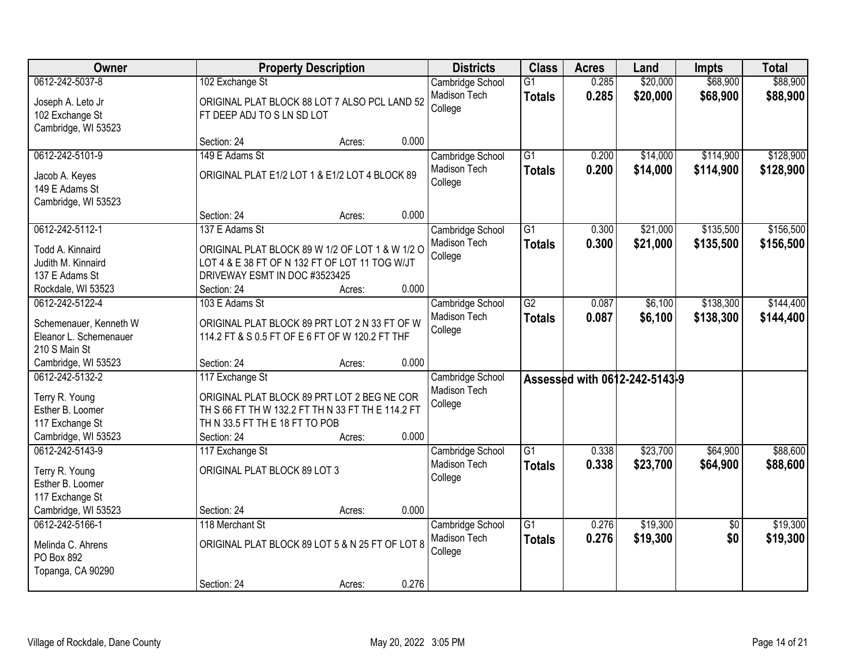| Owner                                                                                                                  |                                                                                                                                                                                     | <b>Property Description</b> |                | <b>Districts</b>                                   | <b>Class</b>                     | <b>Acres</b>   | Land                          | Impts                  | <b>Total</b>           |
|------------------------------------------------------------------------------------------------------------------------|-------------------------------------------------------------------------------------------------------------------------------------------------------------------------------------|-----------------------------|----------------|----------------------------------------------------|----------------------------------|----------------|-------------------------------|------------------------|------------------------|
| 0612-242-5037-8<br>Joseph A. Leto Jr<br>102 Exchange St<br>Cambridge, WI 53523                                         | 102 Exchange St<br>ORIGINAL PLAT BLOCK 88 LOT 7 ALSO PCL LAND 52<br>FT DEEP ADJ TO S LN SD LOT                                                                                      |                             |                | Cambridge School<br>Madison Tech<br>College        | $\overline{G1}$<br><b>Totals</b> | 0.285<br>0.285 | \$20,000<br>\$20,000          | \$68,900<br>\$68,900   | \$88,900<br>\$88,900   |
|                                                                                                                        | Section: 24                                                                                                                                                                         | Acres:                      | 0.000          |                                                    |                                  |                |                               |                        |                        |
| 0612-242-5101-9<br>Jacob A. Keyes<br>149 E Adams St<br>Cambridge, WI 53523                                             | 149 E Adams St<br>ORIGINAL PLAT E1/2 LOT 1 & E1/2 LOT 4 BLOCK 89                                                                                                                    |                             |                | Cambridge School<br>Madison Tech<br>College        | $\overline{G1}$<br><b>Totals</b> | 0.200<br>0.200 | \$14,000<br>\$14,000          | \$114,900<br>\$114,900 | \$128,900<br>\$128,900 |
|                                                                                                                        | Section: 24                                                                                                                                                                         | Acres:                      | 0.000          |                                                    |                                  |                |                               |                        |                        |
| 0612-242-5112-1<br>Todd A. Kinnaird<br>Judith M. Kinnaird<br>137 E Adams St<br>Rockdale, WI 53523                      | 137 E Adams St<br>ORIGINAL PLAT BLOCK 89 W 1/2 OF LOT 1 & W 1/2 O<br>LOT 4 & E 38 FT OF N 132 FT OF LOT 11 TOG W/JT<br>DRIVEWAY ESMT IN DOC #3523425<br>Section: 24                 | Acres:                      | 0.000          | Cambridge School<br>Madison Tech<br>College        | G1<br><b>Totals</b>              | 0.300<br>0.300 | \$21,000<br>\$21,000          | \$135,500<br>\$135,500 | \$156,500<br>\$156,500 |
| 0612-242-5122-4<br>Schemenauer, Kenneth W<br>Eleanor L. Schemenauer<br>210 S Main St                                   | 103 E Adams St<br>ORIGINAL PLAT BLOCK 89 PRT LOT 2 N 33 FT OF W<br>114.2 FT & S 0.5 FT OF E 6 FT OF W 120.2 FT THF                                                                  |                             |                | Cambridge School<br>Madison Tech<br>College        | $\overline{G2}$<br><b>Totals</b> | 0.087<br>0.087 | \$6,100<br>\$6,100            | \$138,300<br>\$138,300 | \$144,400<br>\$144,400 |
| Cambridge, WI 53523<br>0612-242-5132-2<br>Terry R. Young<br>Esther B. Loomer<br>117 Exchange St<br>Cambridge, WI 53523 | Section: 24<br>117 Exchange St<br>ORIGINAL PLAT BLOCK 89 PRT LOT 2 BEG NE COR<br>TH S 66 FT TH W 132.2 FT TH N 33 FT TH E 114.2 FT<br>TH N 33.5 FT TH E 18 FT TO POB<br>Section: 24 | Acres:<br>Acres:            | 0.000<br>0.000 | Cambridge School<br>Madison Tech<br>College        |                                  |                | Assessed with 0612-242-5143-9 |                        |                        |
| 0612-242-5143-9<br>Terry R. Young<br>Esther B. Loomer<br>117 Exchange St<br>Cambridge, WI 53523                        | 117 Exchange St<br>ORIGINAL PLAT BLOCK 89 LOT 3<br>Section: 24                                                                                                                      | Acres:                      | 0.000          | Cambridge School<br><b>Madison Tech</b><br>College | $\overline{G1}$<br><b>Totals</b> | 0.338<br>0.338 | \$23,700<br>\$23,700          | \$64,900<br>\$64,900   | \$88,600<br>\$88,600   |
| 0612-242-5166-1<br>Melinda C. Ahrens<br>PO Box 892<br>Topanga, CA 90290                                                | 118 Merchant St<br>ORIGINAL PLAT BLOCK 89 LOT 5 & N 25 FT OF LOT 8<br>Section: 24                                                                                                   | Acres:                      | 0.276          | Cambridge School<br><b>Madison Tech</b><br>College | $\overline{G1}$<br><b>Totals</b> | 0.276<br>0.276 | \$19,300<br>\$19,300          | $\overline{50}$<br>\$0 | \$19,300<br>\$19,300   |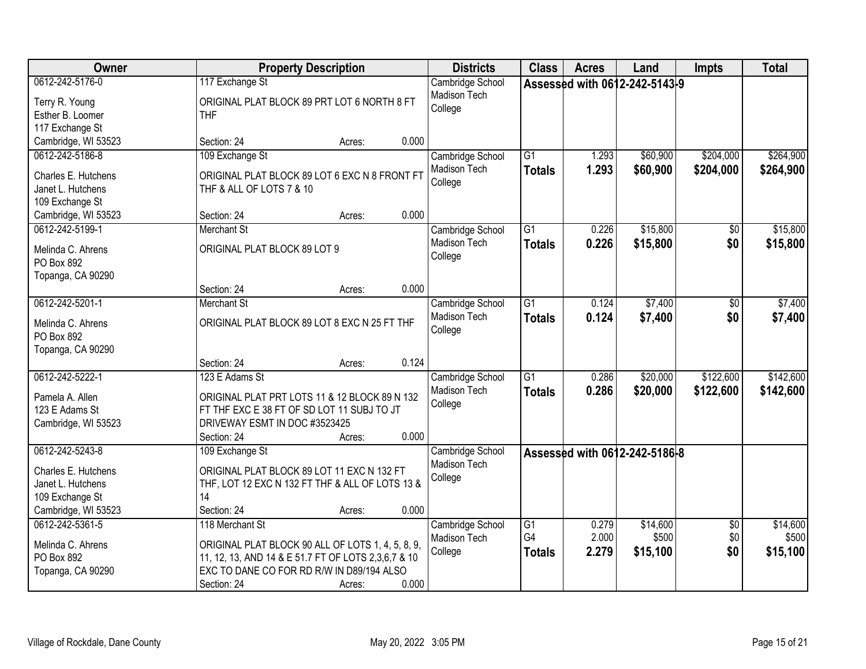| Owner                                                                                                 | <b>Property Description</b>                                                                                                                                                                                | <b>Districts</b>                            | <b>Class</b>                           | <b>Acres</b>            | Land                          | <b>Impts</b>                  | <b>Total</b>                  |
|-------------------------------------------------------------------------------------------------------|------------------------------------------------------------------------------------------------------------------------------------------------------------------------------------------------------------|---------------------------------------------|----------------------------------------|-------------------------|-------------------------------|-------------------------------|-------------------------------|
| 0612-242-5176-0<br>Terry R. Young<br>Esther B. Loomer<br>117 Exchange St                              | 117 Exchange St<br>ORIGINAL PLAT BLOCK 89 PRT LOT 6 NORTH 8 FT<br><b>THF</b>                                                                                                                               | Cambridge School<br>Madison Tech<br>College |                                        |                         | Assessed with 0612-242-5143-9 |                               |                               |
| Cambridge, WI 53523                                                                                   | 0.000<br>Section: 24<br>Acres:                                                                                                                                                                             |                                             |                                        |                         |                               |                               |                               |
| 0612-242-5186-8<br>Charles E. Hutchens<br>Janet L. Hutchens<br>109 Exchange St                        | 109 Exchange St<br>ORIGINAL PLAT BLOCK 89 LOT 6 EXC N 8 FRONT FT<br>THF & ALL OF LOTS 7 & 10                                                                                                               | Cambridge School<br>Madison Tech<br>College | $\overline{G1}$<br><b>Totals</b>       | 1.293<br>1.293          | \$60,900<br>\$60,900          | \$204,000<br>\$204,000        | \$264,900<br>\$264,900        |
| Cambridge, WI 53523<br>0612-242-5199-1                                                                | 0.000<br>Section: 24<br>Acres:<br><b>Merchant St</b>                                                                                                                                                       |                                             | $\overline{G1}$                        | 0.226                   | \$15,800                      |                               | \$15,800                      |
| Melinda C. Ahrens<br>PO Box 892<br>Topanga, CA 90290                                                  | ORIGINAL PLAT BLOCK 89 LOT 9                                                                                                                                                                               | Cambridge School<br>Madison Tech<br>College | <b>Totals</b>                          | 0.226                   | \$15,800                      | \$0<br>\$0                    | \$15,800                      |
|                                                                                                       | 0.000<br>Section: 24<br>Acres:                                                                                                                                                                             |                                             |                                        |                         |                               |                               |                               |
| 0612-242-5201-1<br>Melinda C. Ahrens<br>PO Box 892<br>Topanga, CA 90290                               | <b>Merchant St</b><br>ORIGINAL PLAT BLOCK 89 LOT 8 EXC N 25 FT THF                                                                                                                                         | Cambridge School<br>Madison Tech<br>College | $\overline{G1}$<br><b>Totals</b>       | 0.124<br>0.124          | \$7,400<br>\$7,400            | \$0<br>\$0                    | \$7,400<br>\$7,400            |
|                                                                                                       | 0.124<br>Section: 24<br>Acres:                                                                                                                                                                             |                                             |                                        |                         |                               |                               |                               |
| 0612-242-5222-1<br>Pamela A. Allen<br>123 E Adams St<br>Cambridge, WI 53523                           | 123 E Adams St<br>ORIGINAL PLAT PRT LOTS 11 & 12 BLOCK 89 N 132<br>FT THF EXC E 38 FT OF SD LOT 11 SUBJ TO JT<br>DRIVEWAY ESMT IN DOC #3523425<br>0.000<br>Section: 24<br>Acres:                           | Cambridge School<br>Madison Tech<br>College | $\overline{G1}$<br><b>Totals</b>       | 0.286<br>0.286          | \$20,000<br>\$20,000          | \$122,600<br>\$122,600        | \$142,600<br>\$142,600        |
| 0612-242-5243-8<br>Charles E. Hutchens<br>Janet L. Hutchens<br>109 Exchange St<br>Cambridge, WI 53523 | 109 Exchange St<br>ORIGINAL PLAT BLOCK 89 LOT 11 EXC N 132 FT<br>THF, LOT 12 EXC N 132 FT THF & ALL OF LOTS 13 &<br>14<br>Section: 24<br>0.000<br>Acres:                                                   | Cambridge School<br>Madison Tech<br>College |                                        |                         | Assessed with 0612-242-5186-8 |                               |                               |
| 0612-242-5361-5<br>Melinda C. Ahrens<br>PO Box 892<br>Topanga, CA 90290                               | 118 Merchant St<br>ORIGINAL PLAT BLOCK 90 ALL OF LOTS 1, 4, 5, 8, 9,<br>11, 12, 13, AND 14 & E 51.7 FT OF LOTS 2,3,6,7 & 10<br>EXC TO DANE CO FOR RD R/W IN D89/194 ALSO<br>0.000<br>Section: 24<br>Acres: | Cambridge School<br>Madison Tech<br>College | $\overline{G1}$<br>G4<br><b>Totals</b> | 0.279<br>2.000<br>2.279 | \$14,600<br>\$500<br>\$15,100 | $\overline{30}$<br>\$0<br>\$0 | \$14,600<br>\$500<br>\$15,100 |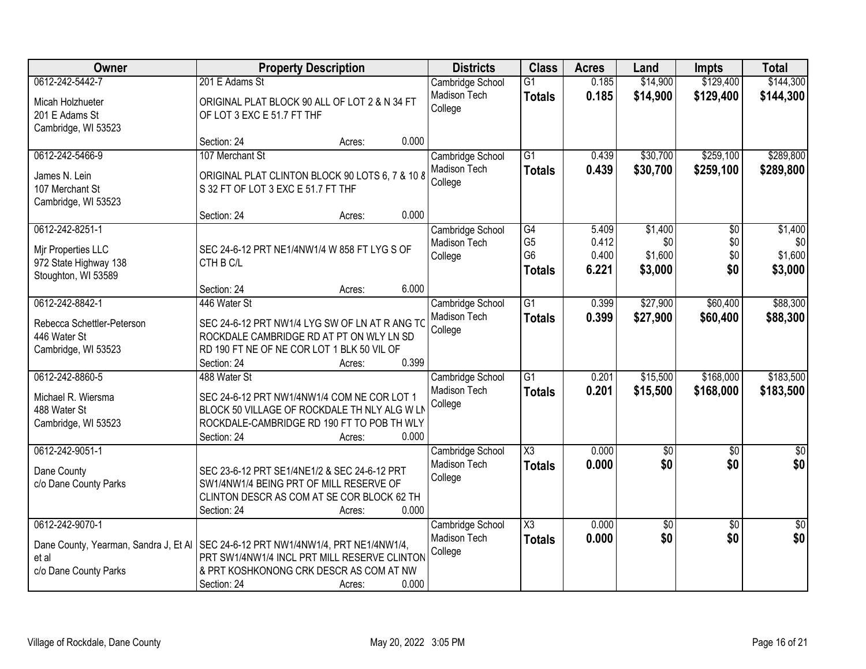| Owner                                                                                 | <b>Property Description</b>                                                                                                                                                                                      | <b>Districts</b>                                   | <b>Class</b>                                            | <b>Acres</b>                     | Land                                 | <b>Impts</b>                         | <b>Total</b>                         |
|---------------------------------------------------------------------------------------|------------------------------------------------------------------------------------------------------------------------------------------------------------------------------------------------------------------|----------------------------------------------------|---------------------------------------------------------|----------------------------------|--------------------------------------|--------------------------------------|--------------------------------------|
| 0612-242-5442-7                                                                       | 201 E Adams St                                                                                                                                                                                                   | Cambridge School                                   | G1                                                      | 0.185                            | \$14,900                             | \$129,400                            | \$144,300                            |
| Micah Holzhueter<br>201 E Adams St<br>Cambridge, WI 53523                             | ORIGINAL PLAT BLOCK 90 ALL OF LOT 2 & N 34 FT<br>OF LOT 3 EXC E 51.7 FT THF                                                                                                                                      | Madison Tech<br>College                            | <b>Totals</b>                                           | 0.185                            | \$14,900                             | \$129,400                            | \$144,300                            |
|                                                                                       | 0.000<br>Section: 24<br>Acres:                                                                                                                                                                                   |                                                    |                                                         |                                  |                                      |                                      |                                      |
| 0612-242-5466-9                                                                       | 107 Merchant St                                                                                                                                                                                                  | Cambridge School                                   | $\overline{G1}$                                         | 0.439                            | \$30,700                             | \$259,100                            | \$289,800                            |
| James N. Lein<br>107 Merchant St<br>Cambridge, WI 53523                               | ORIGINAL PLAT CLINTON BLOCK 90 LOTS 6, 7 & 10 8<br>S 32 FT OF LOT 3 EXC E 51.7 FT THF                                                                                                                            | Madison Tech<br>College                            | <b>Totals</b>                                           | 0.439                            | \$30,700                             | \$259,100                            | \$289,800                            |
|                                                                                       | 0.000<br>Section: 24<br>Acres:                                                                                                                                                                                   |                                                    |                                                         |                                  |                                      |                                      |                                      |
| 0612-242-8251-1<br>Mir Properties LLC<br>972 State Highway 138<br>Stoughton, WI 53589 | SEC 24-6-12 PRT NE1/4NW1/4 W 858 FT LYG S OF<br>CTH B C/L                                                                                                                                                        | Cambridge School<br>Madison Tech<br>College        | G4<br>G <sub>5</sub><br>G <sub>6</sub><br><b>Totals</b> | 5.409<br>0.412<br>0.400<br>6.221 | \$1,400<br>\$0<br>\$1,600<br>\$3,000 | $\overline{50}$<br>\$0<br>\$0<br>\$0 | \$1,400<br>\$0<br>\$1,600<br>\$3,000 |
|                                                                                       | 6.000<br>Section: 24<br>Acres:                                                                                                                                                                                   |                                                    |                                                         |                                  |                                      |                                      |                                      |
| 0612-242-8842-1                                                                       | 446 Water St                                                                                                                                                                                                     | Cambridge School<br>Madison Tech                   | $\overline{G1}$<br><b>Totals</b>                        | 0.399<br>0.399                   | \$27,900<br>\$27,900                 | \$60,400<br>\$60,400                 | \$88,300<br>\$88,300                 |
| Rebecca Schettler-Peterson<br>446 Water St<br>Cambridge, WI 53523                     | SEC 24-6-12 PRT NW1/4 LYG SW OF LN AT R ANG TO<br>ROCKDALE CAMBRIDGE RD AT PT ON WLY LN SD<br>RD 190 FT NE OF NE COR LOT 1 BLK 50 VIL OF<br>0.399<br>Section: 24<br>Acres:                                       | College                                            |                                                         |                                  |                                      |                                      |                                      |
| 0612-242-8860-5<br>Michael R. Wiersma<br>488 Water St<br>Cambridge, WI 53523          | 488 Water St<br>SEC 24-6-12 PRT NW1/4NW1/4 COM NE COR LOT 1<br>BLOCK 50 VILLAGE OF ROCKDALE TH NLY ALG W LN<br>ROCKDALE-CAMBRIDGE RD 190 FT TO POB TH WLY<br>0.000<br>Section: 24<br>Acres:                      | Cambridge School<br>Madison Tech<br>College        | $\overline{G1}$<br><b>Totals</b>                        | 0.201<br>0.201                   | \$15,500<br>\$15,500                 | \$168,000<br>\$168,000               | \$183,500<br>\$183,500               |
| 0612-242-9051-1<br>Dane County                                                        | SEC 23-6-12 PRT SE1/4NE1/2 & SEC 24-6-12 PRT                                                                                                                                                                     | Cambridge School<br>Madison Tech                   | $\overline{\chi_3}$<br><b>Totals</b>                    | 0.000<br>0.000                   | $\overline{60}$<br>\$0               | $\overline{50}$<br>\$0               | \$0<br>\$0                           |
| c/o Dane County Parks                                                                 | SW1/4NW1/4 BEING PRT OF MILL RESERVE OF<br>CLINTON DESCR AS COM AT SE COR BLOCK 62 TH<br>Section: 24<br>0.000<br>Acres:                                                                                          | College                                            |                                                         |                                  |                                      |                                      |                                      |
| 0612-242-9070-1<br>et al<br>c/o Dane County Parks                                     | Dane County, Yearman, Sandra J, Et AI   SEC 24-6-12 PRT NW1/4NW1/4, PRT NE1/4NW1/4,<br>PRT SW1/4NW1/4 INCL PRT MILL RESERVE CLINTON<br>& PRT KOSHKONONG CRK DESCR AS COM AT NW<br>0.000<br>Section: 24<br>Acres: | Cambridge School<br><b>Madison Tech</b><br>College | $\overline{\text{X3}}$<br><b>Totals</b>                 | 0.000<br>0.000                   | $\overline{50}$<br>\$0               | $\overline{30}$<br>\$0               | $\sqrt{50}$<br>\$0                   |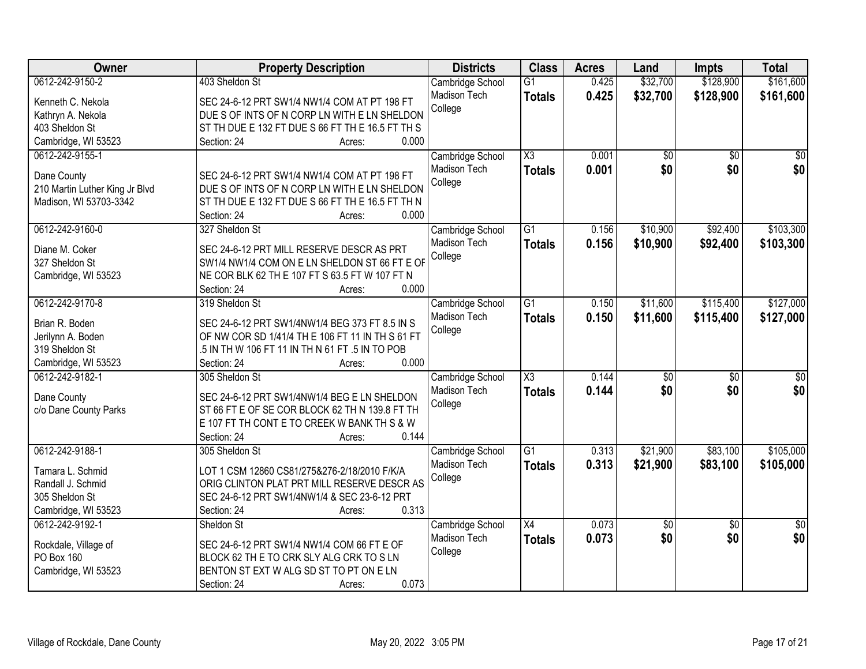| Owner                          | <b>Property Description</b>                      | <b>Districts</b> | <b>Class</b>           | <b>Acres</b> | Land            | <b>Impts</b>    | <b>Total</b>    |
|--------------------------------|--------------------------------------------------|------------------|------------------------|--------------|-----------------|-----------------|-----------------|
| 0612-242-9150-2                | 403 Sheldon St                                   | Cambridge School | $\overline{G1}$        | 0.425        | \$32,700        | \$128,900       | \$161,600       |
| Kenneth C. Nekola              | SEC 24-6-12 PRT SW1/4 NW1/4 COM AT PT 198 FT     | Madison Tech     | <b>Totals</b>          | 0.425        | \$32,700        | \$128,900       | \$161,600       |
| Kathryn A. Nekola              | DUE S OF INTS OF N CORP LN WITH E LN SHELDON     | College          |                        |              |                 |                 |                 |
| 403 Sheldon St                 | ST TH DUE E 132 FT DUE S 66 FT TH E 16.5 FT TH S |                  |                        |              |                 |                 |                 |
| Cambridge, WI 53523            | 0.000<br>Section: 24<br>Acres:                   |                  |                        |              |                 |                 |                 |
| 0612-242-9155-1                |                                                  | Cambridge School | $\overline{\text{X3}}$ | 0.001        | \$0             | \$0             | \$0             |
|                                |                                                  | Madison Tech     | <b>Totals</b>          | 0.001        | \$0             | \$0             | \$0             |
| Dane County                    | SEC 24-6-12 PRT SW1/4 NW1/4 COM AT PT 198 FT     | College          |                        |              |                 |                 |                 |
| 210 Martin Luther King Jr Blvd | DUE S OF INTS OF N CORP LN WITH E LN SHELDON     |                  |                        |              |                 |                 |                 |
| Madison, WI 53703-3342         | ST TH DUE E 132 FT DUE S 66 FT TH E 16.5 FT TH N |                  |                        |              |                 |                 |                 |
|                                | 0.000<br>Section: 24<br>Acres:                   |                  |                        |              |                 |                 |                 |
| 0612-242-9160-0                | 327 Sheldon St                                   | Cambridge School | G1                     | 0.156        | \$10,900        | \$92,400        | \$103,300       |
| Diane M. Coker                 | SEC 24-6-12 PRT MILL RESERVE DESCR AS PRT        | Madison Tech     | <b>Totals</b>          | 0.156        | \$10,900        | \$92,400        | \$103,300       |
| 327 Sheldon St                 | SW1/4 NW1/4 COM ON E LN SHELDON ST 66 FT E OF    | College          |                        |              |                 |                 |                 |
| Cambridge, WI 53523            | NE COR BLK 62 TH E 107 FT S 63.5 FT W 107 FT N   |                  |                        |              |                 |                 |                 |
|                                | Section: 24<br>0.000<br>Acres:                   |                  |                        |              |                 |                 |                 |
| 0612-242-9170-8                | 319 Sheldon St                                   | Cambridge School | $\overline{G1}$        | 0.150        | \$11,600        | \$115,400       | \$127,000       |
|                                |                                                  | Madison Tech     | <b>Totals</b>          | 0.150        | \$11,600        | \$115,400       | \$127,000       |
| Brian R. Boden                 | SEC 24-6-12 PRT SW1/4NW1/4 BEG 373 FT 8.5 IN S   | College          |                        |              |                 |                 |                 |
| Jerilynn A. Boden              | OF NW COR SD 1/41/4 TH E 106 FT 11 IN TH S 61 FT |                  |                        |              |                 |                 |                 |
| 319 Sheldon St                 | .5 IN TH W 106 FT 11 IN TH N 61 FT .5 IN TO POB  |                  |                        |              |                 |                 |                 |
| Cambridge, WI 53523            | 0.000<br>Section: 24<br>Acres:                   |                  |                        |              |                 |                 |                 |
| 0612-242-9182-1                | 305 Sheldon St                                   | Cambridge School | $\overline{\text{X3}}$ | 0.144        | \$0             | $\overline{50}$ | \$0             |
| Dane County                    | SEC 24-6-12 PRT SW1/4NW1/4 BEG E LN SHELDON      | Madison Tech     | <b>Totals</b>          | 0.144        | \$0             | \$0             | \$0             |
| c/o Dane County Parks          | ST 66 FT E OF SE COR BLOCK 62 TH N 139.8 FT TH   | College          |                        |              |                 |                 |                 |
|                                | E 107 FT TH CONT E TO CREEK W BANK TH S & W      |                  |                        |              |                 |                 |                 |
|                                | 0.144<br>Section: 24<br>Acres:                   |                  |                        |              |                 |                 |                 |
| 0612-242-9188-1                | 305 Sheldon St                                   | Cambridge School | $\overline{G1}$        | 0.313        | \$21,900        | \$83,100        | \$105,000       |
|                                |                                                  | Madison Tech     | <b>Totals</b>          | 0.313        | \$21,900        | \$83,100        | \$105,000       |
| Tamara L. Schmid               | LOT 1 CSM 12860 CS81/275&276-2/18/2010 F/K/A     | College          |                        |              |                 |                 |                 |
| Randall J. Schmid              | ORIG CLINTON PLAT PRT MILL RESERVE DESCR AS      |                  |                        |              |                 |                 |                 |
| 305 Sheldon St                 | SEC 24-6-12 PRT SW1/4NW1/4 & SEC 23-6-12 PRT     |                  |                        |              |                 |                 |                 |
| Cambridge, WI 53523            | 0.313<br>Section: 24<br>Acres:                   |                  |                        |              |                 |                 |                 |
| 0612-242-9192-1                | Sheldon St                                       | Cambridge School | $\overline{X4}$        | 0.073        | $\overline{50}$ | $\overline{30}$ | $\overline{50}$ |
| Rockdale, Village of           | SEC 24-6-12 PRT SW1/4 NW1/4 COM 66 FT E OF       | Madison Tech     | <b>Totals</b>          | 0.073        | \$0             | \$0             | \$0             |
| PO Box 160                     | BLOCK 62 TH E TO CRK SLY ALG CRK TO SLN          | College          |                        |              |                 |                 |                 |
| Cambridge, WI 53523            | BENTON ST EXT W ALG SD ST TO PT ON E LN          |                  |                        |              |                 |                 |                 |
|                                | 0.073<br>Section: 24<br>Acres:                   |                  |                        |              |                 |                 |                 |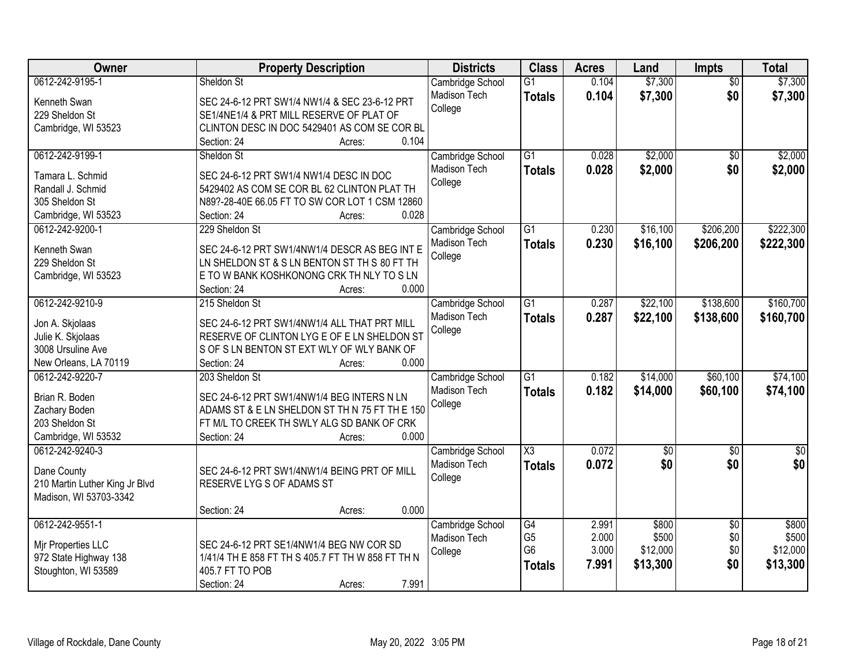| Owner                          | <b>Property Description</b>                       | <b>Districts</b>    | <b>Class</b>           | <b>Acres</b> | Land        | Impts           | <b>Total</b>    |
|--------------------------------|---------------------------------------------------|---------------------|------------------------|--------------|-------------|-----------------|-----------------|
| 0612-242-9195-1                | Sheldon St                                        | Cambridge School    | $\overline{G1}$        | 0.104        | \$7,300     | $\overline{50}$ | \$7,300         |
| Kenneth Swan                   | SEC 24-6-12 PRT SW1/4 NW1/4 & SEC 23-6-12 PRT     | Madison Tech        | <b>Totals</b>          | 0.104        | \$7,300     | \$0             | \$7,300         |
| 229 Sheldon St                 | SE1/4NE1/4 & PRT MILL RESERVE OF PLAT OF          | College             |                        |              |             |                 |                 |
| Cambridge, WI 53523            | CLINTON DESC IN DOC 5429401 AS COM SE COR BL      |                     |                        |              |             |                 |                 |
|                                | 0.104<br>Section: 24<br>Acres:                    |                     |                        |              |             |                 |                 |
| 0612-242-9199-1                | Sheldon St                                        | Cambridge School    | $\overline{G1}$        | 0.028        | \$2,000     | $\overline{30}$ | \$2,000         |
| Tamara L. Schmid               | SEC 24-6-12 PRT SW1/4 NW1/4 DESC IN DOC           | <b>Madison Tech</b> | <b>Totals</b>          | 0.028        | \$2,000     | \$0             | \$2,000         |
| Randall J. Schmid              | 5429402 AS COM SE COR BL 62 CLINTON PLAT TH       | College             |                        |              |             |                 |                 |
| 305 Sheldon St                 | N89?-28-40E 66.05 FT TO SW COR LOT 1 CSM 12860    |                     |                        |              |             |                 |                 |
| Cambridge, WI 53523            | 0.028<br>Section: 24<br>Acres:                    |                     |                        |              |             |                 |                 |
| 0612-242-9200-1                | 229 Sheldon St                                    | Cambridge School    | $\overline{G1}$        | 0.230        | \$16,100    | \$206,200       | \$222,300       |
|                                |                                                   | Madison Tech        | <b>Totals</b>          | 0.230        | \$16,100    | \$206,200       | \$222,300       |
| Kenneth Swan                   | SEC 24-6-12 PRT SW1/4NW1/4 DESCR AS BEG INT E     | College             |                        |              |             |                 |                 |
| 229 Sheldon St                 | LN SHELDON ST & S LN BENTON ST TH S 80 FT TH      |                     |                        |              |             |                 |                 |
| Cambridge, WI 53523            | E TO W BANK KOSHKONONG CRK TH NLY TO S LN         |                     |                        |              |             |                 |                 |
|                                | 0.000<br>Section: 24<br>Acres:                    |                     |                        |              |             |                 |                 |
| 0612-242-9210-9                | 215 Sheldon St                                    | Cambridge School    | $\overline{G1}$        | 0.287        | \$22,100    | \$138,600       | \$160,700       |
| Jon A. Skjolaas                | SEC 24-6-12 PRT SW1/4NW1/4 ALL THAT PRT MILL      | Madison Tech        | <b>Totals</b>          | 0.287        | \$22,100    | \$138,600       | \$160,700       |
| Julie K. Skjolaas              | RESERVE OF CLINTON LYG E OF E LN SHELDON ST       | College             |                        |              |             |                 |                 |
| 3008 Ursuline Ave              | S OF S LN BENTON ST EXT WLY OF WLY BANK OF        |                     |                        |              |             |                 |                 |
| New Orleans, LA 70119          | Section: 24<br>0.000<br>Acres:                    |                     |                        |              |             |                 |                 |
| 0612-242-9220-7                | 203 Sheldon St                                    | Cambridge School    | $\overline{G1}$        | 0.182        | \$14,000    | \$60,100        | \$74,100        |
| Brian R. Boden                 | SEC 24-6-12 PRT SW1/4NW1/4 BEG INTERS N LN        | Madison Tech        | <b>Totals</b>          | 0.182        | \$14,000    | \$60,100        | \$74,100        |
| Zachary Boden                  | ADAMS ST & E LN SHELDON ST TH N 75 FT TH E 150    | College             |                        |              |             |                 |                 |
| 203 Sheldon St                 | FT M/L TO CREEK TH SWLY ALG SD BANK OF CRK        |                     |                        |              |             |                 |                 |
| Cambridge, WI 53532            | 0.000<br>Section: 24<br>Acres:                    |                     |                        |              |             |                 |                 |
| 0612-242-9240-3                |                                                   | Cambridge School    | $\overline{\text{X3}}$ | 0.072        | $\sqrt{50}$ | $\overline{50}$ | $\overline{50}$ |
|                                |                                                   | Madison Tech        | <b>Totals</b>          | 0.072        | \$0         | \$0             | \$0             |
| Dane County                    | SEC 24-6-12 PRT SW1/4NW1/4 BEING PRT OF MILL      | College             |                        |              |             |                 |                 |
| 210 Martin Luther King Jr Blvd | RESERVE LYG S OF ADAMS ST                         |                     |                        |              |             |                 |                 |
| Madison, WI 53703-3342         |                                                   |                     |                        |              |             |                 |                 |
|                                | 0.000<br>Section: 24<br>Acres:                    |                     |                        |              |             |                 |                 |
| 0612-242-9551-1                |                                                   | Cambridge School    | G4                     | 2.991        | \$800       | $\overline{30}$ | \$800           |
| Mir Properties LLC             | SEC 24-6-12 PRT SE1/4NW1/4 BEG NW COR SD          | <b>Madison Tech</b> | G <sub>5</sub>         | 2.000        | \$500       | \$0             | \$500           |
| 972 State Highway 138          | 1/41/4 TH E 858 FT TH S 405.7 FT TH W 858 FT TH N | College             | G <sub>6</sub>         | 3.000        | \$12,000    | \$0             | \$12,000        |
| Stoughton, WI 53589            | 405.7 FT TO POB                                   |                     | <b>Totals</b>          | 7.991        | \$13,300    | \$0             | \$13,300        |
|                                | 7.991<br>Section: 24<br>Acres:                    |                     |                        |              |             |                 |                 |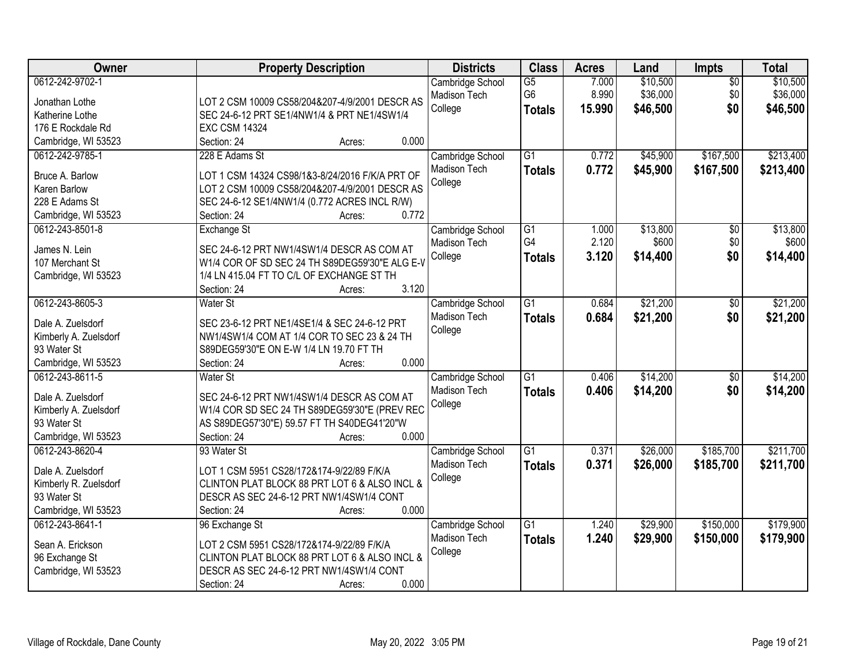| Owner                                                                                                              | <b>Property Description</b>                                                                                                                                                                                                              | <b>Districts</b>                            | <b>Class</b>                                       | <b>Acres</b>             | Land                             | Impts                         | <b>Total</b>                     |
|--------------------------------------------------------------------------------------------------------------------|------------------------------------------------------------------------------------------------------------------------------------------------------------------------------------------------------------------------------------------|---------------------------------------------|----------------------------------------------------|--------------------------|----------------------------------|-------------------------------|----------------------------------|
| 0612-242-9702-1<br>Jonathan Lothe<br>Katherine Lothe<br>176 E Rockdale Rd                                          | LOT 2 CSM 10009 CS58/204&207-4/9/2001 DESCR AS<br>SEC 24-6-12 PRT SE1/4NW1/4 & PRT NE1/4SW1/4<br><b>EXC CSM 14324</b>                                                                                                                    | Cambridge School<br>Madison Tech<br>College | $\overline{G5}$<br>G <sub>6</sub><br><b>Totals</b> | 7.000<br>8.990<br>15.990 | \$10,500<br>\$36,000<br>\$46,500 | $\overline{50}$<br>\$0<br>\$0 | \$10,500<br>\$36,000<br>\$46,500 |
| Cambridge, WI 53523<br>0612-242-9785-1<br>Bruce A. Barlow<br>Karen Barlow<br>228 E Adams St<br>Cambridge, WI 53523 | 0.000<br>Section: 24<br>Acres:<br>228 E Adams St<br>LOT 1 CSM 14324 CS98/1&3-8/24/2016 F/K/A PRT OF<br>LOT 2 CSM 10009 CS58/204&207-4/9/2001 DESCR AS<br>SEC 24-6-12 SE1/4NW1/4 (0.772 ACRES INCL R/W)<br>0.772<br>Section: 24<br>Acres: | Cambridge School<br>Madison Tech<br>College | $\overline{G1}$<br><b>Totals</b>                   | 0.772<br>0.772           | \$45,900<br>\$45,900             | \$167,500<br>\$167,500        | \$213,400<br>\$213,400           |
| 0612-243-8501-8<br>James N. Lein<br>107 Merchant St<br>Cambridge, WI 53523                                         | Exchange St<br>SEC 24-6-12 PRT NW1/4SW1/4 DESCR AS COM AT<br>W1/4 COR OF SD SEC 24 TH S89DEG59'30"E ALG E-V<br>1/4 LN 415.04 FT TO C/L OF EXCHANGE ST TH<br>3.120<br>Section: 24<br>Acres:                                               | Cambridge School<br>Madison Tech<br>College | G1<br>G4<br><b>Totals</b>                          | 1.000<br>2.120<br>3.120  | \$13,800<br>\$600<br>\$14,400    | $\overline{50}$<br>\$0<br>\$0 | \$13,800<br>\$600<br>\$14,400    |
| 0612-243-8605-3<br>Dale A. Zuelsdorf<br>Kimberly A. Zuelsdorf<br>93 Water St<br>Cambridge, WI 53523                | <b>Water St</b><br>SEC 23-6-12 PRT NE1/4SE1/4 & SEC 24-6-12 PRT<br>NW1/4SW1/4 COM AT 1/4 COR TO SEC 23 & 24 TH<br>S89DEG59'30"E ON E-W 1/4 LN 19.70 FT TH<br>0.000<br>Section: 24<br>Acres:                                              | Cambridge School<br>Madison Tech<br>College | $\overline{G1}$<br><b>Totals</b>                   | 0.684<br>0.684           | \$21,200<br>\$21,200             | \$0<br>\$0                    | \$21,200<br>\$21,200             |
| 0612-243-8611-5<br>Dale A. Zuelsdorf<br>Kimberly A. Zuelsdorf<br>93 Water St<br>Cambridge, WI 53523                | Water St<br>SEC 24-6-12 PRT NW1/4SW1/4 DESCR AS COM AT<br>W1/4 COR SD SEC 24 TH S89DEG59'30"E (PREV REC<br>AS S89DEG57'30"E) 59.57 FT TH S40DEG41'20"W<br>0.000<br>Section: 24<br>Acres:                                                 | Cambridge School<br>Madison Tech<br>College | $\overline{G1}$<br><b>Totals</b>                   | 0.406<br>0.406           | \$14,200<br>\$14,200             | $\overline{50}$<br>\$0        | \$14,200<br>\$14,200             |
| 0612-243-8620-4<br>Dale A. Zuelsdorf<br>Kimberly R. Zuelsdorf<br>93 Water St<br>Cambridge, WI 53523                | 93 Water St<br>LOT 1 CSM 5951 CS28/172&174-9/22/89 F/K/A<br>CLINTON PLAT BLOCK 88 PRT LOT 6 & ALSO INCL &<br>DESCR AS SEC 24-6-12 PRT NW1/4SW1/4 CONT<br>0.000<br>Section: 24<br>Acres:                                                  | Cambridge School<br>Madison Tech<br>College | $\overline{G1}$<br><b>Totals</b>                   | 0.371<br>0.371           | \$26,000<br>\$26,000             | \$185,700<br>\$185,700        | \$211,700<br>\$211,700           |
| 0612-243-8641-1<br>Sean A. Erickson<br>96 Exchange St<br>Cambridge, WI 53523                                       | 96 Exchange St<br>LOT 2 CSM 5951 CS28/172&174-9/22/89 F/K/A<br>CLINTON PLAT BLOCK 88 PRT LOT 6 & ALSO INCL &<br>DESCR AS SEC 24-6-12 PRT NW1/4SW1/4 CONT<br>0.000<br>Section: 24<br>Acres:                                               | Cambridge School<br>Madison Tech<br>College | $\overline{G1}$<br><b>Totals</b>                   | 1.240<br>1.240           | \$29,900<br>\$29,900             | \$150,000<br>\$150,000        | \$179,900<br>\$179,900           |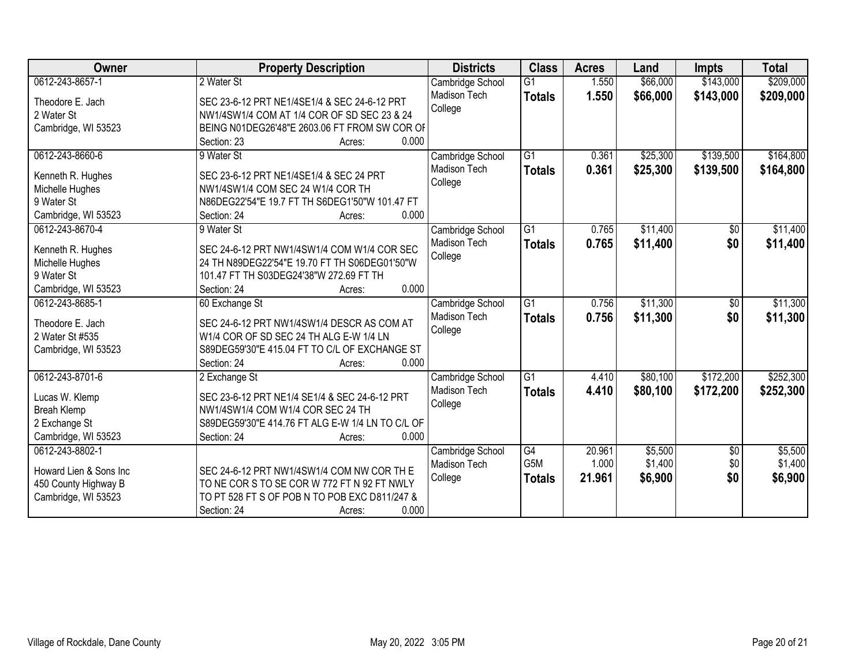| Owner                  | <b>Property Description</b>                      | <b>Districts</b>    | <b>Class</b>    | <b>Acres</b> | Land     | <b>Impts</b>    | <b>Total</b> |
|------------------------|--------------------------------------------------|---------------------|-----------------|--------------|----------|-----------------|--------------|
| 0612-243-8657-1        | 2 Water St                                       | Cambridge School    | $\overline{G1}$ | 1.550        | \$66,000 | \$143,000       | \$209,000    |
| Theodore E. Jach       | SEC 23-6-12 PRT NE1/4SE1/4 & SEC 24-6-12 PRT     | <b>Madison Tech</b> | <b>Totals</b>   | 1.550        | \$66,000 | \$143,000       | \$209,000    |
| 2 Water St             | NW1/4SW1/4 COM AT 1/4 COR OF SD SEC 23 & 24      | College             |                 |              |          |                 |              |
| Cambridge, WI 53523    | BEING N01DEG26'48"E 2603.06 FT FROM SW COR OF    |                     |                 |              |          |                 |              |
|                        | 0.000<br>Section: 23<br>Acres:                   |                     |                 |              |          |                 |              |
| 0612-243-8660-6        | 9 Water St                                       | Cambridge School    | $\overline{G1}$ | 0.361        | \$25,300 | \$139,500       | \$164,800    |
|                        |                                                  | <b>Madison Tech</b> | <b>Totals</b>   | 0.361        | \$25,300 | \$139,500       | \$164,800    |
| Kenneth R. Hughes      | SEC 23-6-12 PRT NE1/4SE1/4 & SEC 24 PRT          | College             |                 |              |          |                 |              |
| Michelle Hughes        | NW1/4SW1/4 COM SEC 24 W1/4 COR TH                |                     |                 |              |          |                 |              |
| 9 Water St             | N86DEG22'54"E 19.7 FT TH S6DEG1'50"W 101.47 FT   |                     |                 |              |          |                 |              |
| Cambridge, WI 53523    | 0.000<br>Section: 24<br>Acres:                   |                     |                 |              |          |                 |              |
| 0612-243-8670-4        | 9 Water St                                       | Cambridge School    | G1              | 0.765        | \$11,400 | \$0             | \$11,400     |
| Kenneth R. Hughes      | SEC 24-6-12 PRT NW1/4SW1/4 COM W1/4 COR SEC      | <b>Madison Tech</b> | <b>Totals</b>   | 0.765        | \$11,400 | \$0             | \$11,400     |
| Michelle Hughes        | 24 TH N89DEG22'54"E 19.70 FT TH S06DEG01'50"W    | College             |                 |              |          |                 |              |
| 9 Water St             | 101.47 FT TH S03DEG24'38"W 272.69 FT TH          |                     |                 |              |          |                 |              |
| Cambridge, WI 53523    | 0.000<br>Section: 24<br>Acres:                   |                     |                 |              |          |                 |              |
| 0612-243-8685-1        | 60 Exchange St                                   | Cambridge School    | G1              | 0.756        | \$11,300 | $\sqrt{6}$      | \$11,300     |
|                        |                                                  | Madison Tech        | <b>Totals</b>   | 0.756        | \$11,300 | \$0             | \$11,300     |
| Theodore E. Jach       | SEC 24-6-12 PRT NW1/4SW1/4 DESCR AS COM AT       | College             |                 |              |          |                 |              |
| 2 Water St #535        | W1/4 COR OF SD SEC 24 TH ALG E-W 1/4 LN          |                     |                 |              |          |                 |              |
| Cambridge, WI 53523    | S89DEG59'30"E 415.04 FT TO C/L OF EXCHANGE ST    |                     |                 |              |          |                 |              |
|                        | 0.000<br>Section: 24<br>Acres:                   |                     |                 |              |          |                 |              |
| 0612-243-8701-6        | 2 Exchange St                                    | Cambridge School    | $\overline{G1}$ | 4.410        | \$80,100 | \$172,200       | \$252,300    |
| Lucas W. Klemp         | SEC 23-6-12 PRT NE1/4 SE1/4 & SEC 24-6-12 PRT    | Madison Tech        | <b>Totals</b>   | 4.410        | \$80,100 | \$172,200       | \$252,300    |
| <b>Breah Klemp</b>     | NW1/4SW1/4 COM W1/4 COR SEC 24 TH                | College             |                 |              |          |                 |              |
| 2 Exchange St          | S89DEG59'30"E 414.76 FT ALG E-W 1/4 LN TO C/L OF |                     |                 |              |          |                 |              |
| Cambridge, WI 53523    | 0.000<br>Section: 24<br>Acres:                   |                     |                 |              |          |                 |              |
| 0612-243-8802-1        |                                                  | Cambridge School    | G4              | 20.961       | \$5,500  | $\overline{50}$ | \$5,500      |
|                        |                                                  | Madison Tech        | G5M             | 1.000        | \$1,400  | \$0             | \$1,400      |
| Howard Lien & Sons Inc | SEC 24-6-12 PRT NW1/4SW1/4 COM NW COR TH E       | College             | <b>Totals</b>   | 21.961       | \$6,900  | \$0             | \$6,900      |
| 450 County Highway B   | TO NE COR S TO SE COR W 772 FT N 92 FT NWLY      |                     |                 |              |          |                 |              |
| Cambridge, WI 53523    | TO PT 528 FT S OF POB N TO POB EXC D811/247 &    |                     |                 |              |          |                 |              |
|                        | 0.000<br>Section: 24<br>Acres:                   |                     |                 |              |          |                 |              |